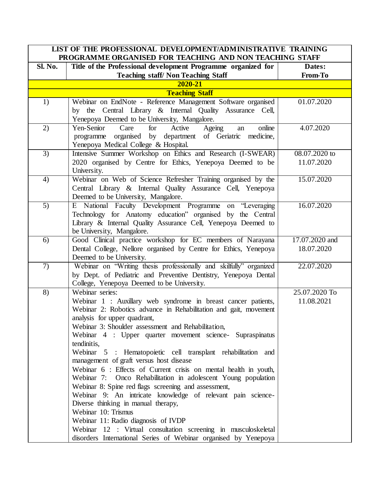|                | LIST OF THE PROFESSIONAL DEVELOPMENT/ADMINISTRATIVE TRAINING<br>PROGRAMME ORGANISED FOR TEACHING AND NON TEACHING STAFF                                                                                                                                                                                                                                                                                                                                                                                                                                                                                                                                                                                                                                                                                                                                                                                                                 |                              |
|----------------|-----------------------------------------------------------------------------------------------------------------------------------------------------------------------------------------------------------------------------------------------------------------------------------------------------------------------------------------------------------------------------------------------------------------------------------------------------------------------------------------------------------------------------------------------------------------------------------------------------------------------------------------------------------------------------------------------------------------------------------------------------------------------------------------------------------------------------------------------------------------------------------------------------------------------------------------|------------------------------|
| Sl. No.        | Title of the Professional development Programme organized for<br><b>Teaching staff/Non Teaching Staff</b>                                                                                                                                                                                                                                                                                                                                                                                                                                                                                                                                                                                                                                                                                                                                                                                                                               | Dates:<br>From-To            |
|                | 2020-21                                                                                                                                                                                                                                                                                                                                                                                                                                                                                                                                                                                                                                                                                                                                                                                                                                                                                                                                 |                              |
|                | <b>Teaching Staff</b>                                                                                                                                                                                                                                                                                                                                                                                                                                                                                                                                                                                                                                                                                                                                                                                                                                                                                                                   |                              |
| 1)             | Webinar on EndNote - Reference Management Software organised                                                                                                                                                                                                                                                                                                                                                                                                                                                                                                                                                                                                                                                                                                                                                                                                                                                                            | 01.07.2020                   |
|                | by the Central Library & Internal Quality Assurance Cell,<br>Yenepoya Deemed to be University, Mangalore.                                                                                                                                                                                                                                                                                                                                                                                                                                                                                                                                                                                                                                                                                                                                                                                                                               |                              |
| 2)             | Yen-Senior<br>Care<br>Ageing<br>for<br>Active<br>online<br>an<br>organised by department of Geriatric medicine,<br>programme<br>Yenepoya Medical College & Hospital.                                                                                                                                                                                                                                                                                                                                                                                                                                                                                                                                                                                                                                                                                                                                                                    | 4.07.2020                    |
| 3)             | Intensive Summer Workshop on Ethics and Research (I-SWEAR)<br>2020 organised by Centre for Ethics, Yenepoya Deemed to be<br>University.                                                                                                                                                                                                                                                                                                                                                                                                                                                                                                                                                                                                                                                                                                                                                                                                 | 08.07.2020 to<br>11.07.2020  |
| 4)             | Webinar on Web of Science Refresher Training organised by the<br>Central Library & Internal Quality Assurance Cell, Yenepoya<br>Deemed to be University, Mangalore.                                                                                                                                                                                                                                                                                                                                                                                                                                                                                                                                                                                                                                                                                                                                                                     | 15.07.2020                   |
| 5)             | E National Faculty Development Programme on "Leveraging<br>Technology for Anatomy education" organised by the Central<br>Library & Internal Quality Assurance Cell, Yenepoya Deemed to<br>be University, Mangalore.                                                                                                                                                                                                                                                                                                                                                                                                                                                                                                                                                                                                                                                                                                                     | 16.07.2020                   |
| 6)             | Good Clinical practice workshop for EC members of Narayana<br>Dental College, Nellore organised by Centre for Ethics, Yenepoya<br>Deemed to be University.                                                                                                                                                                                                                                                                                                                                                                                                                                                                                                                                                                                                                                                                                                                                                                              | 17.07.2020 and<br>18.07.2020 |
| $\overline{7}$ | Webinar on "Writing thesis professionally and skilfully" organized<br>by Dept. of Pediatric and Preventive Dentistry, Yenepoya Dental<br>College, Yenepoya Deemed to be University.                                                                                                                                                                                                                                                                                                                                                                                                                                                                                                                                                                                                                                                                                                                                                     | 22.07.2020                   |
| 8)             | Webinar series:<br>Webinar 1 : Auxillary web syndrome in breast cancer patients,<br>Webinar 2: Robotics advance in Rehabilitation and gait, movement<br>analysis for upper quadrant,<br>Webinar 3: Shoulder assessment and Rehabilitation,<br>Webinar 4 : Upper quarter movement science- Supraspinatus<br>tendinitis,<br>Webinar 5 : Hematopoietic cell transplant rehabilitation and<br>management of graft versus host disease<br>Webinar 6 : Effects of Current crisis on mental health in youth,<br>Webinar 7: Onco Rehabilitation in adolescent Young population<br>Webinar 8: Spine red flags screening and assessment,<br>Webinar 9: An intricate knowledge of relevant pain science-<br>Diverse thinking in manual therapy,<br>Webinar 10: Trismus<br>Webinar 11: Radio diagnosis of IVDP<br>Webinar 12 : Virtual consultation screening in musculoskeletal<br>disorders International Series of Webinar organised by Yenepoya | 25.07.2020 To<br>11.08.2021  |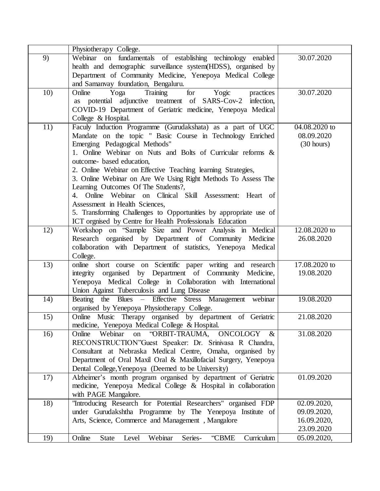|     | Physiotherapy College.                                                                                                                                                                                                                                                                                                                                                                                                                                                                                                                                                                                                                                       |                                                         |
|-----|--------------------------------------------------------------------------------------------------------------------------------------------------------------------------------------------------------------------------------------------------------------------------------------------------------------------------------------------------------------------------------------------------------------------------------------------------------------------------------------------------------------------------------------------------------------------------------------------------------------------------------------------------------------|---------------------------------------------------------|
| 9)  | Webinar on fundamentals of establishing technology enabled<br>health and demographic surveillance system (HDSS), organised by<br>Department of Community Medicine, Yenepoya Medical College<br>and Samanvay foundation, Bengaluru.                                                                                                                                                                                                                                                                                                                                                                                                                           | 30.07.2020                                              |
| 10) | for<br>Training<br>Yogic<br>Online<br>Yoga<br>practices<br>as potential adjunctive treatment of SARS-Cov-2 infection,<br>COVID-19 Department of Geriatric medicine, Yenepoya Medical<br>College & Hospital.                                                                                                                                                                                                                                                                                                                                                                                                                                                  | 30.07.2020                                              |
| 11) | Faculy Induction Programme (Gurudakshata) as a part of UGC<br>Mandate on the topic " Basic Course in Technology Enriched<br>Emerging Pedagogical Methods"<br>1. Online Webinar on Nuts and Bolts of Curricular reforms &<br>outcome-based education,<br>2. Online Webinar on Effective Teaching learning Strategies,<br>3. Online Webinar on Are We Using Right Methods To Assess The<br>Learning Outcomes Of The Students?,<br>4. Online Webinar on Clinical Skill Assessment: Heart of<br>Assessment in Health Sciences,<br>5. Transforming Challenges to Opportunities by appropriate use of<br>ICT orgnised by Centre for Health Professionals Education | 04.08.2020 to<br>08.09.2020<br>$(30 \text{ hours})$     |
| 12) | Workshop on 'Sample Size and Power Analysis in Medical<br>Research organised by Department of Community Medicine<br>collaboration with Department of statistics, Yenepoya Medical<br>College.                                                                                                                                                                                                                                                                                                                                                                                                                                                                | 12.08.2020 to<br>26.08.2020                             |
| 13) | online short course on Scientific paper writing and research<br>integrity organised by Department of Community Medicine,<br>Yenepoya Medical College in Collaboration with International<br>Union Against Tuberculosis and Lung Disease                                                                                                                                                                                                                                                                                                                                                                                                                      | 17.08.2020 to<br>19.08.2020                             |
| 14) | Beating the Blues - Effective Stress Management webinar<br>organised by Yenepoya Physiotherapy College.                                                                                                                                                                                                                                                                                                                                                                                                                                                                                                                                                      | 19.08.2020                                              |
| 15) | Online Music Therapy organised by department of Geriatric<br>medicine, Yenepoya Medical College & Hospital.                                                                                                                                                                                                                                                                                                                                                                                                                                                                                                                                                  | 21.08.2020                                              |
| 16) | Webinar<br>"ORBIT-TRAUMA, ONCOLOGY<br>Online<br>on<br>$\&$<br>RECONSTRUCTION"Guest Speaker: Dr. Srinivasa R Chandra,<br>Consultant at Nebraska Medical Centre, Omaha, organised by<br>Department of Oral Maxil Oral & Maxillofacial Surgery, Yenepoya<br>Dental College, Yenepoya (Deemed to be University)                                                                                                                                                                                                                                                                                                                                                  | 31.08.2020                                              |
| 17) | Alzheimer's month program organised by department of Geriatric<br>medicine, Yenepoya Medical College & Hospital in collaboration<br>with PAGE Mangalore.                                                                                                                                                                                                                                                                                                                                                                                                                                                                                                     | 01.09.2020                                              |
| 18) | "Introducing Research for Potential Researchers" organised FDP<br>under Gurudakshtha Programme by The Yenepoya Institute of<br>Arts, Science, Commerce and Management, Mangalore                                                                                                                                                                                                                                                                                                                                                                                                                                                                             | 02.09.2020,<br>09.09.2020,<br>16.09.2020,<br>23.09.2020 |
| 19) | Webinar<br>Curriculum<br>Online<br>"CBME<br><b>State</b><br>Level<br>Series-                                                                                                                                                                                                                                                                                                                                                                                                                                                                                                                                                                                 | 05.09.2020,                                             |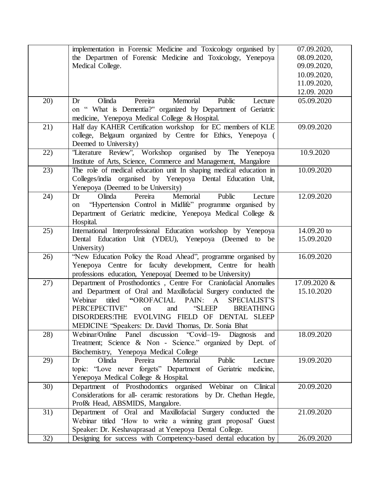|     | implementation in Forensic Medicine and Toxicology organised by                                                                  | 07.09.2020,  |
|-----|----------------------------------------------------------------------------------------------------------------------------------|--------------|
|     | the Departmen of Forensic Medicine and Toxicology, Yenepoya                                                                      | 08.09.2020,  |
|     | Medical College.                                                                                                                 | 09.09.2020,  |
|     |                                                                                                                                  | 10.09.2020,  |
|     |                                                                                                                                  | 11.09.2020,  |
|     |                                                                                                                                  | 12.09.2020   |
| 20) | Memorial<br>Pereira<br>Public<br>Olinda<br>Lecture<br>Dr                                                                         | 05.09.2020   |
|     | on " What is Dementia?" organized by Department of Geriatric                                                                     |              |
|     | medicine, Yenepoya Medical College & Hospital.                                                                                   |              |
| 21) | Half day KAHER Certification workshop for EC members of KLE                                                                      | 09.09.2020   |
|     | college, Belgaum organized by Centre for Ethics, Yenepoya (                                                                      |              |
|     | Deemed to University)                                                                                                            |              |
| 22) | "Literature Review", Workshop organised by The Yenepoya                                                                          | 10.9.2020    |
|     | Institute of Arts, Science, Commerce and Management, Mangalore                                                                   |              |
| 23) | The role of medical education unit In shaping medical education in                                                               | 10.09.2020   |
|     | Colleges/india organised by Yenepoya Dental Education Unit,                                                                      |              |
|     | Yenepoya (Deemed to be University)                                                                                               |              |
| 24) | Memorial<br>Olinda<br>Pereira<br>Public<br>Lecture<br>Dr                                                                         | 12.09.2020   |
|     | "Hypertension Control in Midlife" programme organised by<br>on                                                                   |              |
|     | Department of Geriatric medicine, Yenepoya Medical College &                                                                     |              |
|     | Hospital.                                                                                                                        |              |
| 25) | International Interprofessional Education workshop by Yenepoya                                                                   | 14.09.20 to  |
|     | Dental Education Unit (YDEU), Yenepoya (Deemed to be                                                                             | 15.09.2020   |
|     | University)                                                                                                                      |              |
| 26) | "New Education Policy the Road Ahead", programme organised by                                                                    | 16.09.2020   |
|     | Yenepoya Centre for faculty development, Centre for health                                                                       |              |
|     | professions education, Yenepoya( Deemed to be University)                                                                        |              |
| 27) | Department of Prosthodontics, Centre For Craniofacial Anomalies                                                                  | 17.09.2020 & |
|     | and Department of Oral and Maxillofacial Surgery conducted the                                                                   | 15.10.2020   |
|     | Webinar<br>titled<br>"OROFACIAL PAIN:<br>$\mathbf{A}$<br><b>SPECIALIST'S</b>                                                     |              |
|     | PERCEPECTIVE"<br>"SLEEP<br><b>BREATHING</b><br>and<br>on                                                                         |              |
|     | DISORDERS:THE EVOLVING FIELD OF DENTAL SLEEP                                                                                     |              |
|     | MEDICINE "Speakers: Dr. David Thomas, Dr. Sonia Bhat                                                                             |              |
| 28) | Webinar/Online Panel discussion "Covid-19- Diagnosis<br>and                                                                      | 18.09.2020   |
|     | Treatment; Science & Non - Science." organized by Dept. of                                                                       |              |
|     | Biochemistry, Yenepoya Medical College                                                                                           |              |
| 29) | Pereira<br>Memorial<br>Olinda<br>Public<br>Lecture<br>Dr                                                                         | 19.09.2020   |
|     | topic: "Love never forgets" Department of Geriatric medicine,                                                                    |              |
|     | Yenepoya Medical College & Hospital.                                                                                             |              |
| 30) | Department of Prosthodontics organised Webinar on Clinical<br>Considerations for all- ceramic restorations by Dr. Chethan Hegde, | 20.09.2020   |
|     |                                                                                                                                  |              |
| 31) | Prof& Head, ABSMIDS, Mangalore.<br>Department of Oral and Maxillofacial Surgery conducted the                                    | 21.09.2020   |
|     |                                                                                                                                  |              |
|     | Webinar titled 'How to write a winning grant proposal' Guest                                                                     |              |
|     | Speaker: Dr. Keshavaprasad at Yenepoya Dental College.                                                                           |              |
| 32) | Designing for success with Competency-based dental education by                                                                  | 26.09.2020   |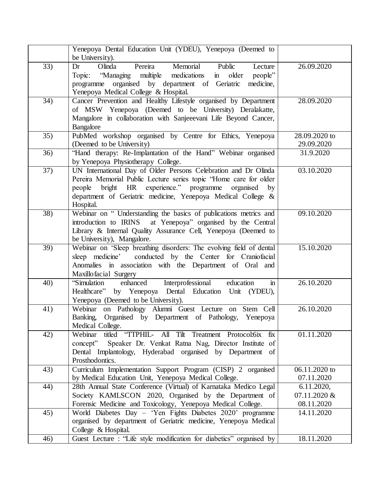|                  | Yenepoya Dental Education Unit (YDEU), Yenepoya (Deemed to<br>be University).                                                                                                                                                                                                |                                          |
|------------------|------------------------------------------------------------------------------------------------------------------------------------------------------------------------------------------------------------------------------------------------------------------------------|------------------------------------------|
| 33)              | Pereira<br>Olinda<br>Memorial<br>Public<br>Lecture<br>Dr<br>Topic: "Managing multiple medications in older<br>people"<br>programme organised by department of Geriatric<br>medicine,<br>Yenepoya Medical College & Hospital.                                                 | 26.09.2020                               |
| 34)              | Cancer Prevention and Healthy Lifestyle organised by Department<br>of MSW Yenepoya (Deemed to be University) Deralakatte,<br>Mangalore in collaboration with Sanjeeevani Life Beyond Cancer,<br>Bangalore                                                                    | 28.09.2020                               |
| 35)              | PubMed workshop organised by Centre for Ethics, Yenepoya<br>(Deemed to be University)                                                                                                                                                                                        | 28.09.2020 to<br>29.09.2020              |
| 36)              | "Hand therapy: Re-Implantation of the Hand" Webinar organised<br>by Yenepoya Physiotherapy College.                                                                                                                                                                          | 31.9.2020                                |
| 37)              | UN International Day of Older Persons Celebration and Dr Olinda<br>Pereira Memorial Public Lecture series topic "Home care for older<br>bright HR experience." programme organised by<br>people<br>department of Geriatric medicine, Yenepoya Medical College &<br>Hospital. | 03.10.2020                               |
| $\overline{38)}$ | Webinar on "Understanding the basics of publications metrics and<br>introduction to IRINS at Yenepoya" organised by the Central<br>Library & Internal Quality Assurance Cell, Yenepoya (Deemed to<br>be University), Mangalore.                                              | 09.10.2020                               |
| 39)              | Webinar on 'Sleep breathing disorders: The evolving field of dental<br>conducted by the Center for Craniofacial<br>sleep medicine'<br>Anomalies in association with the Department of Oral and<br>Maxillofacial Surgery                                                      | 15.10.2020                               |
| 40)              | Interprofessional<br>enhanced<br>education<br>"Simulation<br>$\mathbf{m}$<br>Healthcare" by Yenepoya Dental Education Unit (YDEU),<br>Yenepoya (Deemed to be University).                                                                                                    | 26.10.2020                               |
| 41)              | Webinar on Pathology Alumni Guest Lecture on Stem Cell<br>Banking, Organised by Department of Pathology, Yenepoya<br>Medical College.                                                                                                                                        | 26.10.2020                               |
| 42)              | titled "TTPHIL- All Tilt Treatment Protocol:6ix fix<br>Webinar<br>concept" Speaker Dr. Venkat Ratna Nag, Director Institute of<br>Dental Implantology, Hyderabad organised by Department of<br>Prosthodontics.                                                               | 01.11.2020                               |
| 43)              | Curriculum Implementation Support Program (CISP) 2 organised<br>by Medical Education Unit, Yenepoya Medical College.                                                                                                                                                         | 06.11.2020 to<br>07.11.2020              |
| 44)              | 28th Annual State Conference (Virtual) of Karnataka Medico Legal<br>Society KAMLSCON 2020, Organised by the Department of<br>Forensic Medicine and Toxicology, Yenepoya Medical College.                                                                                     | 6.11.2020,<br>07.11.2020 &<br>08.11.2020 |
| 45)              | World Diabetes Day - 'Yen Fights Diabetes 2020' programme<br>organised by department of Geriatric medicine, Yenepoya Medical<br>College & Hospital.                                                                                                                          | 14.11.2020                               |
| 46)              | Guest Lecture : "Life style modification for diabetics" organised by                                                                                                                                                                                                         | 18.11.2020                               |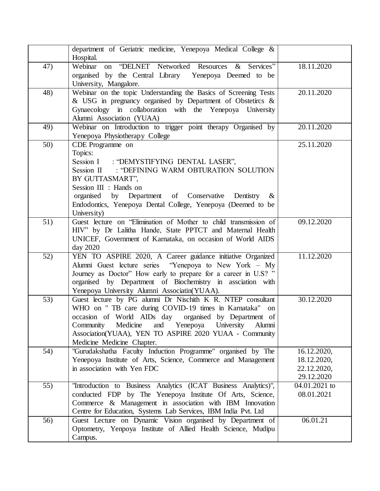|     | department of Geriatric medicine, Yenepoya Medical College &<br>Hospital.                                                                                                                                                                                                                                                            |                                                         |
|-----|--------------------------------------------------------------------------------------------------------------------------------------------------------------------------------------------------------------------------------------------------------------------------------------------------------------------------------------|---------------------------------------------------------|
| 47) | Webinar on "DELNET Networked Resources & Services"<br>organised by the Central Library Yenepoya Deemed to be<br>University, Mangalore.                                                                                                                                                                                               | 18.11.2020                                              |
| 48) | Webinar on the topic Understanding the Basics of Screening Tests<br>& USG in pregnancy organised by Department of Obstetircs $\&$<br>Gynaecology in collaboration with the Yenepoya University<br>Alumni Association (YUAA)                                                                                                          | 20.11.2020                                              |
| 49) | Webinar on Introduction to trigger point therapy Organised by<br>Yenepoya Physiotherapy College                                                                                                                                                                                                                                      | 20.11.2020                                              |
| 50) | CDE Programme on<br>Topics:<br>Session I : "DEMYSTIFYING DENTAL LASER",<br>Session II : "DEFINING WARM OBTURATION SOLUTION<br>BY GUTTASMART",<br>Session III : Hands on<br>organised by Department of Conservative Dentistry<br>$\&$<br>Endodontics, Yenepoya Dental College, Yenepoya (Deemed to be<br>University)                  | 25.11.2020                                              |
| 51) | Guest lecture on "Elimination of Mother to child transmission of<br>HIV" by Dr Lalitha Hande, State PPTCT and Maternal Health<br>UNICEF, Government of Karnataka, on occasion of World AIDS<br>day 2020                                                                                                                              | 09.12.2020                                              |
| 52) | YEN TO ASPIRE 2020, A Career guidance initiative Organized<br>Alumni Guest lecture series "Yenepoya to New York - My<br>Journey as Doctor" How early to prepare for a career in U.S? "<br>organised by Department of Biochemistry in assciation with<br>Yenepoya University Alumni Associatin(YUAA).                                 | 11.12.2020                                              |
| 53) | Guest lecture by PG alumni Dr Nischith K R. NTEP consultant<br>WHO on "TB care during COVID-19 times in Karnataka" on<br>occasion of World AIDs day organised by Department of<br>Medicine<br>and Yenepoya University<br>Alumni<br>Community<br>Association(YUAA), YEN TO ASPIRE 2020 YUAA - Community<br>Medicine Medicine Chapter. | 30.12.2020                                              |
| 54) | "Gurudakshatha Faculty Induction Programme" organised by The<br>Yenepoya Institute of Arts, Science, Commerce and Management<br>in association with Yen FDC                                                                                                                                                                          | 16.12.2020,<br>18.12.2020,<br>22.12.2020,<br>29.12.2020 |
| 55) | "Introduction to Business Analytics (ICAT Business Analytics)",<br>conducted FDP by The Yenepoya Institute Of Arts, Science,<br>Commerce & Management in association with IBM Innovation<br>Centre for Education, Systems Lab Services, IBM India Pvt. Ltd                                                                           | 04.01.2021 to<br>08.01.2021                             |
| 56) | Guest Lecture on Dynamic Vision organised by Department of<br>Optometry, Yenpoya Institute of Allied Health Science, Mudipu<br>Campus.                                                                                                                                                                                               | 06.01.21                                                |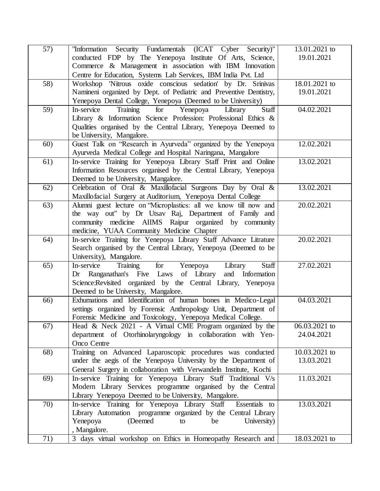| 57) | "Information Security Fundamentals (ICAT Cyber Security)"<br>conducted FDP by The Yenepoya Institute Of Arts, Science,     | 13.01.2021 to<br>19.01.2021 |
|-----|----------------------------------------------------------------------------------------------------------------------------|-----------------------------|
|     | Commerce & Management in association with IBM Innovation<br>Centre for Education, Systems Lab Services, IBM India Pvt. Ltd |                             |
| 58) | Workshop 'Nitrous oxide conscious sedation' by Dr. Srinivas                                                                | 18.01.2021 to               |
|     | Namineni organized by Dept. of Pediatric and Preventive Dentistry,                                                         | 19.01.2021                  |
|     | Yenepoya Dental College, Yenepoya (Deemed to be University)                                                                |                             |
| 59) | Staff<br>Training<br>Yenepoya<br>Library<br>In-service<br>for                                                              | 04.02.2021                  |
|     |                                                                                                                            |                             |
|     | Library & Information Science Profession: Professional Ethics &                                                            |                             |
|     | Qualities organised by the Central Library, Yenepoya Deemed to                                                             |                             |
|     | be University, Mangalore.                                                                                                  |                             |
| 60) | Guest Talk on "Research in Ayurveda" organized by the Yenepoya                                                             | 12.02.2021                  |
|     | Ayurveda Medical College and Hospital Naringana, Mangalore                                                                 |                             |
| 61) | In-service Training for Yenepoya Library Staff Print and Online                                                            | 13.02.2021                  |
|     | Information Resources organised by the Central Library, Yenepoya                                                           |                             |
|     | Deemed to be University, Mangalore.                                                                                        |                             |
| 62) | Celebration of Oral & Maxillofacial Surgeons Day by Oral &                                                                 | 13.02.2021                  |
|     | Maxillofacial Surgery at Auditorium, Yenepoya Dental College                                                               |                             |
| 63) | Alumni guest lecture on 'Microplastics: all we know till now and                                                           | 20.02.2021                  |
|     | the way out" by Dr Utsav Raj, Department of Family and                                                                     |                             |
|     | community medicine AIIMS Raipur organized by community                                                                     |                             |
|     | medicine, YUAA Community Medicine Chapter                                                                                  |                             |
| 64) | In-service Training for Yenepoya Library Staff Advance Litrature                                                           | 20.02.2021                  |
|     | Search organised by the Central Library, Yenepoya (Deemed to be                                                            |                             |
|     | University), Mangalore.                                                                                                    |                             |
| 65) | Staff<br>In-service<br>Training<br>for<br>Yenepoya<br>Library                                                              | 27.02.2021                  |
|     | Dr Ranganathan's Five Laws of Library<br>and Information                                                                   |                             |
|     | Science: Revisited organized by the Central Library, Yenepoya                                                              |                             |
|     | Deemed to be University, Mangalore.                                                                                        |                             |
| 66) | Exhumations and Identification of human bones in Medico-Legal                                                              | 04.03.2021                  |
|     | settings organized by Forensic Anthropology Unit, Department of                                                            |                             |
|     | Forensic Medicine and Toxicology, Yenepoya Medical College.                                                                |                             |
| 67) | Head & Neck 2021 - A Virtual CME Program organized by the                                                                  | 06.03.2021 to               |
|     | department of Otorhinolaryngology in collaboration with Yen-                                                               | 24.04.2021                  |
|     | Onco Centre                                                                                                                |                             |
| 68) | Training on Advanced Laparoscopic procedures was conducted                                                                 | 10.03.2021 to               |
|     | under the aegis of the Yenepoya University by the Department of                                                            | 13.03.2021                  |
|     | General Surgery in collaboration with Verwandeln Institute, Kochi                                                          |                             |
| 69) | In-service Training for Yenepoya Library Staff Traditional V/s                                                             | 11.03.2021                  |
|     | Modern Library Services programme organised by the Central                                                                 |                             |
|     | Library Yenepoya Deemed to be University, Mangalore.                                                                       |                             |
| 70) | In-service Training for Yenepoya Library Staff<br>Essentials to                                                            | 13.03.2021                  |
|     | Library Automation programme organized by the Central Library                                                              |                             |
|     | (Deemed<br>Yenepoya<br>University)<br>to<br>be                                                                             |                             |
|     | , Mangalore.                                                                                                               |                             |
| 71) | 3 days virtual workshop on Ethics in Homeopathy Research and                                                               | 18.03.2021 to               |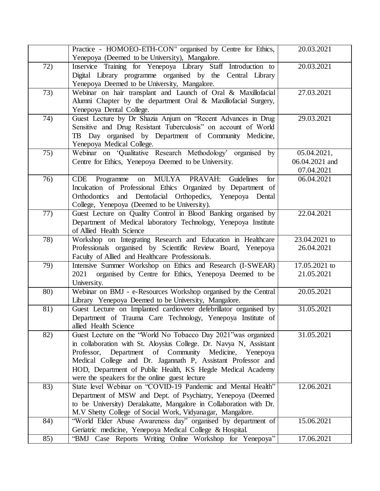|                 | Practice - HOMOEO-ETH-CON" organised by Centre for Ethics,<br>Yenepoya (Deemed to be University), Mangalore.                                                                                                                                                                                                                                                                     | 20.03.2021                                  |
|-----------------|----------------------------------------------------------------------------------------------------------------------------------------------------------------------------------------------------------------------------------------------------------------------------------------------------------------------------------------------------------------------------------|---------------------------------------------|
| 72)             | Inservice Training for Yenepoya Library Staff Introduction to<br>Digital Library programme organised by the Central Library<br>Yenepoya Deemed to be University, Mangalore.                                                                                                                                                                                                      | 20.03.2021                                  |
| 73)             | Webinar on hair transplant and Launch of Oral & Maxillofacial<br>Alumni Chapter by the department Oral & Maxillofacial Surgery,<br>Yenepoya Dental College.                                                                                                                                                                                                                      | 27.03.2021                                  |
| 74)             | Guest Lecture by Dr Shazia Anjum on "Recent Advances in Drug<br>Sensitive and Drug Resistant Tuberculosis" on account of World<br>TB Day organised by Department of Community Medicine,<br>Yenepoya Medical College.                                                                                                                                                             | 29.03.2021                                  |
| 75)             | Webinar on 'Qualitative Research Methodology' organised by<br>Centre for Ethics, Yenepoya Deemed to be University.                                                                                                                                                                                                                                                               | 05.04.2021,<br>06.04.2021 and<br>07.04.2021 |
| 76)             | on MULYA PRAVAH:<br>Guidelines<br>CDE<br>Programme<br>for<br>Inculcation of Professional Ethics Organized by Department of<br>Orthodontics and Dentofacial Orthopedics, Yenepoya Dental<br>College, Yenepoya (Deemed to be University).                                                                                                                                          | 06.04.2021                                  |
| 77)             | Guest Lecture on Quality Control in Blood Banking organised by<br>Department of Medical laboratory Technology, Yenepoya Institute<br>of Allied Health Science                                                                                                                                                                                                                    | 22.04.2021                                  |
| 78)             | Workshop on Integrating Research and Education in Healthcare<br>Professionals organised by Scientific Review Board, Yenepoya<br>Faculty of Allied and Healthcare Professionals.                                                                                                                                                                                                  | 23.04.2021 to<br>26.04.2021                 |
| 79)             | Intensive Summer Workshop on Ethics and Research (I-SWEAR)<br>2021 organised by Centre for Ethics, Yenepoya Deemed to be<br>University.                                                                                                                                                                                                                                          | 17.05.2021 to<br>21.05.2021                 |
| 80)             | Webinar on BMJ - e-Resources Workshop organised by the Central<br>Library Yenepoya Deemed to be University, Mangalore.                                                                                                                                                                                                                                                           | 20.05.2021                                  |
| $\overline{81}$ | Guest Lecture on Implanted cardioveter defebrillator organised by<br>Department of Trauma Care Technology, Yenepoya Institute of<br>allied Health Science                                                                                                                                                                                                                        | 31.05.2021                                  |
| 82)             | Guest Lecture on the "World No Tobacco Day 2021" was organized<br>in collaboration with St. Aloysius College. Dr. Navya N, Assistant<br>Professor, Department of Community Medicine,<br>Yenepoya<br>Medical College and Dr. Jagannath P, Assistant Professor and<br>HOD, Department of Public Health, KS Hegde Medical Academy<br>were the speakers for the online guest lecture | 31.05.2021                                  |
| 83)             | State level Webinar on "COVID-19 Pandemic and Mental Health"<br>Department of MSW and Dept. of Psychiatry, Yenepoya (Deemed<br>to be University) Deralakatte, Mangalore in Collaboration with Dr.<br>M.V Shetty College of Social Work, Vidyanagar, Mangalore.                                                                                                                   | 12.06.2021                                  |
| 84)             | "World Elder Abuse Awareness day" organised by department of<br>Geriatric medicine, Yenepoya Medical College & Hospital.                                                                                                                                                                                                                                                         | 15.06.2021                                  |
| 85)             | "BMJ Case Reports Writing Online Workshop for Yenepoya"                                                                                                                                                                                                                                                                                                                          | 17.06.2021                                  |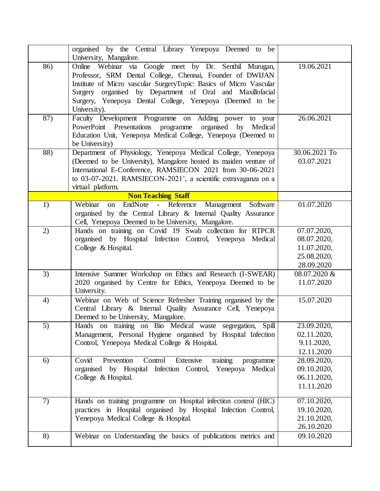|                  | organised by the Central Library Yenepoya Deemed to be<br>University, Mangalore.                                                                                                                                                                                                                                                   |                                                                        |
|------------------|------------------------------------------------------------------------------------------------------------------------------------------------------------------------------------------------------------------------------------------------------------------------------------------------------------------------------------|------------------------------------------------------------------------|
| 86)              | Online Webinar via Google meet by Dr. Senthil Murugan,<br>Professor, SRM Dental College, Chennai, Founder of DWIJAN<br>Institute of Micro vascular SurgeryTopic: Basics of Micro Vascular<br>Surgery organised by Department of Oral and Maxillofacial<br>Surgery, Yenepoya Dental College, Yenepoya (Deemed to be<br>University). | 19.06.2021                                                             |
| $\overline{87)}$ | Faculty Development Programme on Adding power<br>to your<br>PowerPoint Presentations programme organised by<br>Medical<br>Education Unit, Yenepoya Medical College, Yenepoya (Deemed to<br>be University)                                                                                                                          | 26.06.2021                                                             |
| 88)              | Department of Physiology, Yenepoya Medical College, Yenepoya<br>(Deemed to be University), Mangalore hosted its maiden venture of<br>International E-Conference, RAMSIECON 2021 from 30-06-2021<br>to 03-07-2021. RAMSIECON-2021', a scientific extravaganza on a<br>virtual platform.                                             | 30.06.2021 To<br>03.07.2021                                            |
|                  | <b>Non Teaching Staff</b>                                                                                                                                                                                                                                                                                                          |                                                                        |
| 1)               | EndNote - Reference Management Software<br>Webinar<br>on<br>organised by the Central Library & Internal Quality Assurance<br>Cell, Yenepoya Deemed to be University, Mangalore.                                                                                                                                                    | 01.07.2020                                                             |
| 2)               | Hands on training on Covid 19 Swab collection for RTPCR<br>organised by Hospital Infection Control, Yenepoya Medical<br>College & Hospital.                                                                                                                                                                                        | 07.07.2020,<br>08.07.2020,<br>11.07.2020,<br>25.08.2020,<br>28.09.2020 |
| 3)               | Intensive Summer Workshop on Ethics and Research (I-SWEAR)<br>2020 organised by Centre for Ethics, Yenepoya Deemed to be<br>University.                                                                                                                                                                                            | 08.07.2020 &<br>11.07.2020                                             |
| 4)               | Webinar on Web of Science Refresher Training organised by the<br>Central Library & Internal Quality Assurance Cell, Yenepoya<br>Deemed to be University, Mangalore.                                                                                                                                                                | 15.07.2020                                                             |
| 5)               | Hands on training on Bio Medical waste segregation, Spill<br>Management, Personal Hygiene organised by Hospital Infection<br>Control, Yenepoya Medical College & Hospital.                                                                                                                                                         | 23.09.2020,<br>02.11.2020,<br>9.11.2020,<br>12.11.2020                 |
| 6)               | training<br>Prevention<br>Control<br>Extensive<br>Covid<br>programme<br>organised by Hospital Infection Control, Yenepoya Medical<br>College & Hospital.                                                                                                                                                                           | 28.09.2020,<br>09.10.2020,<br>06.11.2020,<br>11.11.2020                |
| 7)               | Hands on training programme on Hospital infection control (HIC)<br>practices in Hospital organised by Hospital Infection Control,<br>Yenepoya Medical College & Hospital.                                                                                                                                                          | 07.10.2020,<br>19.10.2020,<br>21.10.2020,<br>26.10.2020                |
| 8)               | Webinar on Understanding the basics of publications metrics and                                                                                                                                                                                                                                                                    | 09.10.2020                                                             |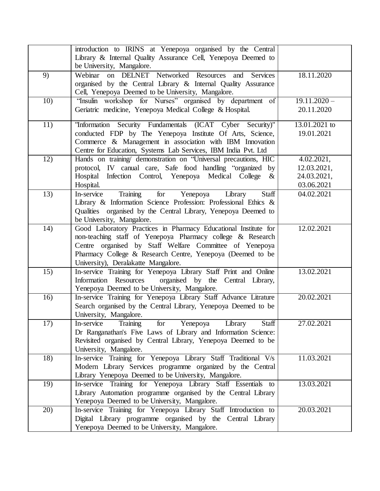|     | introduction to IRINS at Yenepoya organised by the Central<br>Library & Internal Quality Assurance Cell, Yenepoya Deemed to<br>be University, Mangalore.                                                                                                                                      |                                                        |
|-----|-----------------------------------------------------------------------------------------------------------------------------------------------------------------------------------------------------------------------------------------------------------------------------------------------|--------------------------------------------------------|
| 9)  | Webinar on DELNET Networked Resources and Services<br>organised by the Central Library & Internal Quality Assurance<br>Cell, Yenepoya Deemed to be University, Mangalore.                                                                                                                     | 18.11.2020                                             |
| 10) | "Insulin workshop for Nurses" organised by department of<br>Geriatric medicine, Yenepoya Medical College & Hospital.                                                                                                                                                                          | $19.11.2020 -$<br>20.11.2020                           |
| 11) | "Information Security Fundamentals (ICAT Cyber Security)"<br>conducted FDP by The Yenepoya Institute Of Arts, Science,<br>Commerce & Management in association with IBM Innovation<br>Centre for Education, Systems Lab Services, IBM India Pvt. Ltd                                          | 13.01.2021 to<br>19.01.2021                            |
| 12) | Hands on training/ demonstration on "Universal precautions, HIC<br>protocol, IV canual care, Safe food handling "organized by<br>Infection Control, Yenepoya Medical College<br>Hospital<br>$\&$<br>Hospital.                                                                                 | 4.02.2021,<br>12.03.2021,<br>24.03.2021,<br>03.06.2021 |
| 13) | Training<br>for<br>Yenepoya<br>Staff<br>In-service<br>Library<br>Library & Information Science Profession: Professional Ethics &<br>Qualities organised by the Central Library, Yenepoya Deemed to<br>be University, Mangalore.                                                               | 04.02.2021                                             |
| 14) | Good Laboratory Practices in Pharmacy Educational Institute for<br>non-teaching staff of Yenepoya Pharmacy college & Research<br>Centre organised by Staff Welfare Committee of Yenepoya<br>Pharmacy College & Research Centre, Yenepoya (Deemed to be<br>University), Deralakatte Mangalore. | 12.02.2021                                             |
| 15) | In-service Training for Yenepoya Library Staff Print and Online<br>Information Resources<br>organised by the Central Library,<br>Yenepoya Deemed to be University, Mangalore.                                                                                                                 | 13.02.2021                                             |
| 16) | In-service Training for Yenepoya Library Staff Advance Litrature<br>Search organised by the Central Library, Yenepoya Deemed to be<br>University, Mangalore.                                                                                                                                  | 20.02.2021                                             |
| 17) | Staff<br>In-service<br>Training<br>for<br>Yenepoya<br>Library<br>Dr Ranganathan's Five Laws of Library and Information Science:<br>Revisited organised by Central Library, Yenepoya Deemed to be<br>University, Mangalore.                                                                    | 27.02.2021                                             |
| 18) | In-service Training for Yenepoya Library Staff Traditional V/s<br>Modern Library Services programme organized by the Central<br>Library Yenepoya Deemed to be University, Mangalore.                                                                                                          | 11.03.2021                                             |
| 19) | In-service Training for Yenepoya Library Staff Essentials to<br>Library Automation programme organised by the Central Library<br>Yenepoya Deemed to be University, Mangalore.                                                                                                                 | 13.03.2021                                             |
| 20) | In-service Training for Yenepoya Library Staff Introduction to<br>Digital Library programme organised by the Central Library<br>Yenepoya Deemed to be University, Mangalore.                                                                                                                  | 20.03.2021                                             |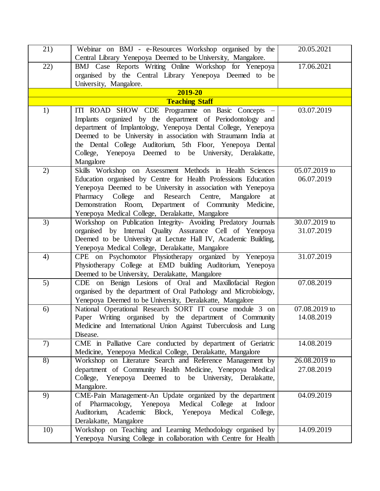| 21) | Webinar on BMJ - e-Resources Workshop organised by the                                                                          | 20.05.2021    |
|-----|---------------------------------------------------------------------------------------------------------------------------------|---------------|
|     | Central Library Yenepoya Deemed to be University, Mangalore.                                                                    |               |
| 22) | BMJ Case Reports Writing Online Workshop for Yenepoya                                                                           | 17.06.2021    |
|     | organised by the Central Library Yenepoya Deemed to be                                                                          |               |
|     | University, Mangalore.                                                                                                          |               |
|     | 2019-20                                                                                                                         |               |
|     | <b>Teaching Staff</b>                                                                                                           |               |
| 1)  | ITI ROAD SHOW CDE Programme on Basic Concepts -                                                                                 | 03.07.2019    |
|     | Implants organized by the department of Periodontology and                                                                      |               |
|     | department of Implantology, Yenepoya Dental College, Yenepoya                                                                   |               |
|     | Deemed to be University in association with Straumann India at                                                                  |               |
|     | the Dental College Auditorium, 5th Floor, Yenepoya Dental                                                                       |               |
|     | College, Yenepoya Deemed to be University, Deralakatte,                                                                         |               |
|     | Mangalore                                                                                                                       |               |
| 2)  | Skills Workshop on Assessment Methods in Health Sciences                                                                        | 05.07.2019 to |
|     | Education organised by Centre for Health Professions Education<br>Yenepoya Deemed to be University in association with Yenepoya | 06.07.2019    |
|     | Pharmacy College and Research Centre, Mangalore<br>at                                                                           |               |
|     | Demonstration Room, Department of Community Medicine,                                                                           |               |
|     | Yenepoya Medical College, Deralakatte, Mangalore                                                                                |               |
| 3)  | Workshop on Publication Integrity- Avoiding Predatory Journals                                                                  | 30.07.2019 to |
|     | organised by Internal Quality Assurance Cell of Yenepoya                                                                        | 31.07.2019    |
|     | Deemed to be University at Lectute Hall IV, Academic Building,                                                                  |               |
|     | Yenepoya Medical College, Deralakatte, Mangalore                                                                                |               |
| 4)  | CPE on Psychomotor Physiotherapy organized by Yenepoya                                                                          | 31.07.2019    |
|     | Physiotherapy College at EMD building Auditorium, Yenepoya                                                                      |               |
|     | Deemed to be University, Deralakatte, Mangalore                                                                                 |               |
| 5)  | CDE on Benign Lesions of Oral and Maxillofacial Region                                                                          | 07.08.2019    |
|     | organised by the department of Oral Pathology and Microbiology,                                                                 |               |
|     | Yenepoya Deemed to be University, Deralakatte, Mangalore                                                                        |               |
| 6)  | National Operational Research SORT IT course module 3 on                                                                        | 07.08.2019 to |
|     | Paper Writing organised by the department of Community                                                                          | 14.08.2019    |
|     | Medicine and International Union Against Tuberculosis and Lung                                                                  |               |
|     | Disease.                                                                                                                        |               |
| 7)  | CME in Palliative Care conducted by department of Geriatric                                                                     | 14.08.2019    |
|     | Medicine, Yenepoya Medical College, Deralakatte, Mangalore                                                                      |               |
| 8)  | Workshop on Literature Search and Reference Management by                                                                       | 26.08.2019 to |
|     | department of Community Health Medicine, Yenepoya Medical                                                                       | 27.08.2019    |
|     | College, Yenepoya Deemed to be University, Deralakatte,                                                                         |               |
|     | Mangalore.                                                                                                                      |               |
| 9)  | CME-Pain Management-An Update organized by the department                                                                       | 04.09.2019    |
|     | of Pharmacology,<br>Medical College<br>Yenepoya<br>Indoor<br>at                                                                 |               |
|     | Academic<br>Block, Yenepoya<br>Medical<br>Auditorium,<br>College,                                                               |               |
| 10) | Deralakatte, Mangalore<br>Workshop on Teaching and Learning Methodology organised by                                            | 14.09.2019    |
|     | Yenepoya Nursing College in collaboration with Centre for Health                                                                |               |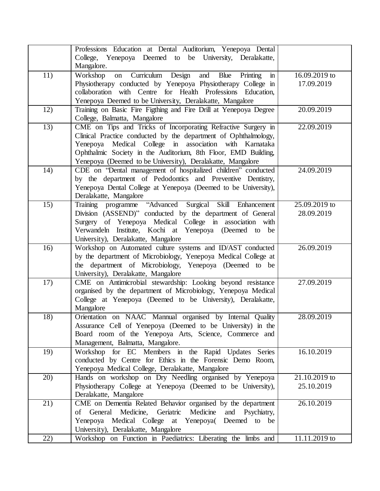|                  | Professions Education at Dental Auditorium, Yenepoya Dental<br>College, Yenepoya Deemed to be University, Deralakatte,<br>Mangalore.                                                                                                                                                                                       |                               |
|------------------|----------------------------------------------------------------------------------------------------------------------------------------------------------------------------------------------------------------------------------------------------------------------------------------------------------------------------|-------------------------------|
| 11)              | on Curriculum Design and Blue<br>Workshop<br>Printing<br>$\mathbf{m}$<br>Physiotherapy conducted by Yenepoya Physiotherapy College in<br>collaboration with Centre for Health Professions Education,<br>Yenepoya Deemed to be University, Deralakatte, Mangalore                                                           | 16.09.2019 to<br>17.09.2019   |
| 12)              | Training on Basic Fire Figthing and Fire Drill at Yenepoya Degree<br>College, Balmatta, Mangalore                                                                                                                                                                                                                          | 20.09.2019                    |
| $\overline{13)}$ | CME on Tips and Tricks of Incorporating Refractive Surgery in<br>Clinical Practice conducted by the department of Ophthalmology,<br>Yenepoya Medical College in association with Karnataka<br>Ophthalmic Society in the Auditorium, 8th Floor, EMD Building,<br>Yenepoya (Deemed to be University), Deralakatte, Mangalore | 22.09.2019                    |
| 14)              | CDE on "Dental management of hospitalized children" conducted<br>by the department of Pedodontics and Preventive Dentistry,<br>Yenepoya Dental College at Yenepoya (Deemed to be University),<br>Deralakatte, Mangalore                                                                                                    | 24.09.2019                    |
| 15)              | Training programme "Advanced Surgical<br>Skill Enhancement<br>Division (ASSEND)" conducted by the department of General<br>Surgery of Yenepoya Medical College in association with<br>Verwandeln Institute, Kochi at Yenepoya (Deemed to be<br>University), Deralakatte, Mangalore                                         | 25.09.2019 to<br>28.09.2019   |
| 16)              | Workshop on Automated culture systems and ID/AST conducted<br>by the department of Microbiology, Yenepoya Medical College at<br>the department of Microbiology, Yenepoya (Deemed to be<br>University), Deralakatte, Mangalore                                                                                              | 26.09.2019                    |
| 17)              | CME on Antimicrobial stewardship: Looking beyond resistance<br>organised by the department of Microbiology, Yenepoya Medical<br>College at Yenepoya (Deemed to be University), Deralakatte,<br>Mangalore                                                                                                                   | 27.09.2019                    |
| 18)              | Orientation on NAAC Mannual organised by Internal Quality<br>Assurance Cell of Yenepoya (Deemed to be University) in the<br>Board room of the Yenepoya Arts, Science, Commerce and<br>Management, Balmatta, Mangalore.                                                                                                     | 28.09.2019                    |
| 19)              | Workshop for EC Members in the Rapid Updates Series<br>conducted by Centre for Ethics in the Forensic Demo Room,<br>Yenepoya Medical College, Deralakatte, Mangalore                                                                                                                                                       | 16.10.2019                    |
| 20)              | Hands on workshop on Dry Needling organised by Yenepoya<br>Physiotherapy College at Yenepoya (Deemed to be University),<br>Deralakatte, Mangalore                                                                                                                                                                          | $21.10.2019$ to<br>25.10.2019 |
| $\overline{21}$  | CME on Dementia Related Behavior organised by the department<br>of General Medicine,<br>Geriatric<br>Medicine<br>and<br>Psychiatry,<br>Yenepoya Medical College at Yenepoya( Deemed to<br>be<br>University), Deralakatte, Mangalore                                                                                        | 26.10.2019                    |
| 22)              | Workshop on Function in Paediatrics: Liberating the limbs and                                                                                                                                                                                                                                                              | 11.11.2019 to                 |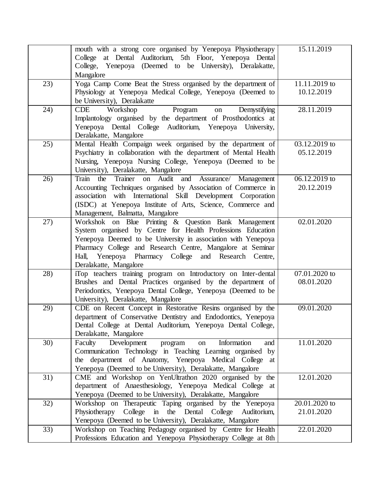| 15.11.2019<br>mouth with a strong core organised by Yenepoya Physiotherapy<br>College at Dental Auditorium, 5th Floor, Yenepoya Dental<br>College, Yenepoya (Deemed to be University), Deralakatte,<br>Mangalore<br>Yoga Camp Come Beat the Stress organised by the department of<br>11.11.2019 to<br>23)<br>Physiology at Yenepoya Medical College, Yenepoya (Deemed to<br>10.12.2019<br>be University), Deralakatte<br>28.11.2019<br>24)<br><b>CDE</b><br>Program<br>Workshop<br>Demystifying<br>on<br>Implantology organised by the department of Prosthodontics at<br>Yenepoya Dental College Auditorium, Yenepoya University,<br>Deralakatte, Mangalore<br>25)<br>Mental Health Compaign week organised by the department of<br>03.12.2019 to<br>Psychiatry in collaboration with the department of Mental Health<br>05.12.2019<br>Nursing, Yenepoya Nursing College, Yenepoya (Deemed to be<br>University), Deralakatte, Mangalore<br>06.12.2019 to<br>26)<br>Train the<br>Trainer on Audit and Assurance/ Management<br>Accounting Techniques organised by Association of Commerce in<br>20.12.2019<br>association with International Skill Development Corporation<br>(ISDC) at Yenepoya Institute of Arts, Science, Commerce and<br>Management, Balmatta, Mangalore<br>02.01.2020<br>27)<br>Workshok on Blue Printing & Question Bank Management |
|-----------------------------------------------------------------------------------------------------------------------------------------------------------------------------------------------------------------------------------------------------------------------------------------------------------------------------------------------------------------------------------------------------------------------------------------------------------------------------------------------------------------------------------------------------------------------------------------------------------------------------------------------------------------------------------------------------------------------------------------------------------------------------------------------------------------------------------------------------------------------------------------------------------------------------------------------------------------------------------------------------------------------------------------------------------------------------------------------------------------------------------------------------------------------------------------------------------------------------------------------------------------------------------------------------------------------------------------------------------|
|                                                                                                                                                                                                                                                                                                                                                                                                                                                                                                                                                                                                                                                                                                                                                                                                                                                                                                                                                                                                                                                                                                                                                                                                                                                                                                                                                           |
|                                                                                                                                                                                                                                                                                                                                                                                                                                                                                                                                                                                                                                                                                                                                                                                                                                                                                                                                                                                                                                                                                                                                                                                                                                                                                                                                                           |
|                                                                                                                                                                                                                                                                                                                                                                                                                                                                                                                                                                                                                                                                                                                                                                                                                                                                                                                                                                                                                                                                                                                                                                                                                                                                                                                                                           |
|                                                                                                                                                                                                                                                                                                                                                                                                                                                                                                                                                                                                                                                                                                                                                                                                                                                                                                                                                                                                                                                                                                                                                                                                                                                                                                                                                           |
|                                                                                                                                                                                                                                                                                                                                                                                                                                                                                                                                                                                                                                                                                                                                                                                                                                                                                                                                                                                                                                                                                                                                                                                                                                                                                                                                                           |
|                                                                                                                                                                                                                                                                                                                                                                                                                                                                                                                                                                                                                                                                                                                                                                                                                                                                                                                                                                                                                                                                                                                                                                                                                                                                                                                                                           |
|                                                                                                                                                                                                                                                                                                                                                                                                                                                                                                                                                                                                                                                                                                                                                                                                                                                                                                                                                                                                                                                                                                                                                                                                                                                                                                                                                           |
|                                                                                                                                                                                                                                                                                                                                                                                                                                                                                                                                                                                                                                                                                                                                                                                                                                                                                                                                                                                                                                                                                                                                                                                                                                                                                                                                                           |
|                                                                                                                                                                                                                                                                                                                                                                                                                                                                                                                                                                                                                                                                                                                                                                                                                                                                                                                                                                                                                                                                                                                                                                                                                                                                                                                                                           |
|                                                                                                                                                                                                                                                                                                                                                                                                                                                                                                                                                                                                                                                                                                                                                                                                                                                                                                                                                                                                                                                                                                                                                                                                                                                                                                                                                           |
|                                                                                                                                                                                                                                                                                                                                                                                                                                                                                                                                                                                                                                                                                                                                                                                                                                                                                                                                                                                                                                                                                                                                                                                                                                                                                                                                                           |
|                                                                                                                                                                                                                                                                                                                                                                                                                                                                                                                                                                                                                                                                                                                                                                                                                                                                                                                                                                                                                                                                                                                                                                                                                                                                                                                                                           |
|                                                                                                                                                                                                                                                                                                                                                                                                                                                                                                                                                                                                                                                                                                                                                                                                                                                                                                                                                                                                                                                                                                                                                                                                                                                                                                                                                           |
|                                                                                                                                                                                                                                                                                                                                                                                                                                                                                                                                                                                                                                                                                                                                                                                                                                                                                                                                                                                                                                                                                                                                                                                                                                                                                                                                                           |
|                                                                                                                                                                                                                                                                                                                                                                                                                                                                                                                                                                                                                                                                                                                                                                                                                                                                                                                                                                                                                                                                                                                                                                                                                                                                                                                                                           |
|                                                                                                                                                                                                                                                                                                                                                                                                                                                                                                                                                                                                                                                                                                                                                                                                                                                                                                                                                                                                                                                                                                                                                                                                                                                                                                                                                           |
|                                                                                                                                                                                                                                                                                                                                                                                                                                                                                                                                                                                                                                                                                                                                                                                                                                                                                                                                                                                                                                                                                                                                                                                                                                                                                                                                                           |
|                                                                                                                                                                                                                                                                                                                                                                                                                                                                                                                                                                                                                                                                                                                                                                                                                                                                                                                                                                                                                                                                                                                                                                                                                                                                                                                                                           |
|                                                                                                                                                                                                                                                                                                                                                                                                                                                                                                                                                                                                                                                                                                                                                                                                                                                                                                                                                                                                                                                                                                                                                                                                                                                                                                                                                           |
|                                                                                                                                                                                                                                                                                                                                                                                                                                                                                                                                                                                                                                                                                                                                                                                                                                                                                                                                                                                                                                                                                                                                                                                                                                                                                                                                                           |
|                                                                                                                                                                                                                                                                                                                                                                                                                                                                                                                                                                                                                                                                                                                                                                                                                                                                                                                                                                                                                                                                                                                                                                                                                                                                                                                                                           |
|                                                                                                                                                                                                                                                                                                                                                                                                                                                                                                                                                                                                                                                                                                                                                                                                                                                                                                                                                                                                                                                                                                                                                                                                                                                                                                                                                           |
| System organised by Centre for Health Professions Education                                                                                                                                                                                                                                                                                                                                                                                                                                                                                                                                                                                                                                                                                                                                                                                                                                                                                                                                                                                                                                                                                                                                                                                                                                                                                               |
| Yenepoya Deemed to be University in association with Yenepoya                                                                                                                                                                                                                                                                                                                                                                                                                                                                                                                                                                                                                                                                                                                                                                                                                                                                                                                                                                                                                                                                                                                                                                                                                                                                                             |
| Pharmacy College and Research Centre, Mangalore at Seminar                                                                                                                                                                                                                                                                                                                                                                                                                                                                                                                                                                                                                                                                                                                                                                                                                                                                                                                                                                                                                                                                                                                                                                                                                                                                                                |
| Yenepoya Pharmacy College and Research Centre,<br>Hall,                                                                                                                                                                                                                                                                                                                                                                                                                                                                                                                                                                                                                                                                                                                                                                                                                                                                                                                                                                                                                                                                                                                                                                                                                                                                                                   |
| Deralakatte, Mangalore                                                                                                                                                                                                                                                                                                                                                                                                                                                                                                                                                                                                                                                                                                                                                                                                                                                                                                                                                                                                                                                                                                                                                                                                                                                                                                                                    |
| 28)<br>iTop teachers training program on Introductory on Inter-dental<br>07.01.2020 to                                                                                                                                                                                                                                                                                                                                                                                                                                                                                                                                                                                                                                                                                                                                                                                                                                                                                                                                                                                                                                                                                                                                                                                                                                                                    |
| Brushes and Dental Practices organised by the department of<br>08.01.2020                                                                                                                                                                                                                                                                                                                                                                                                                                                                                                                                                                                                                                                                                                                                                                                                                                                                                                                                                                                                                                                                                                                                                                                                                                                                                 |
| Periodontics, Yenepoya Dental College, Yenepoya (Deemed to be                                                                                                                                                                                                                                                                                                                                                                                                                                                                                                                                                                                                                                                                                                                                                                                                                                                                                                                                                                                                                                                                                                                                                                                                                                                                                             |
| University), Deralakatte, Mangalore                                                                                                                                                                                                                                                                                                                                                                                                                                                                                                                                                                                                                                                                                                                                                                                                                                                                                                                                                                                                                                                                                                                                                                                                                                                                                                                       |
| CDE on Recent Concept in Restorative Resins organised by the<br>09.01.2020<br>29)                                                                                                                                                                                                                                                                                                                                                                                                                                                                                                                                                                                                                                                                                                                                                                                                                                                                                                                                                                                                                                                                                                                                                                                                                                                                         |
| department of Conservative Dentistry and Endodontics, Yenepoya                                                                                                                                                                                                                                                                                                                                                                                                                                                                                                                                                                                                                                                                                                                                                                                                                                                                                                                                                                                                                                                                                                                                                                                                                                                                                            |
|                                                                                                                                                                                                                                                                                                                                                                                                                                                                                                                                                                                                                                                                                                                                                                                                                                                                                                                                                                                                                                                                                                                                                                                                                                                                                                                                                           |
| Dental College at Dental Auditorium, Yenepoya Dental College,                                                                                                                                                                                                                                                                                                                                                                                                                                                                                                                                                                                                                                                                                                                                                                                                                                                                                                                                                                                                                                                                                                                                                                                                                                                                                             |
| Deralakatte, Mangalore                                                                                                                                                                                                                                                                                                                                                                                                                                                                                                                                                                                                                                                                                                                                                                                                                                                                                                                                                                                                                                                                                                                                                                                                                                                                                                                                    |
| Development<br>30)<br>Faculty<br>Information<br>11.01.2020<br>program<br>and<br>on                                                                                                                                                                                                                                                                                                                                                                                                                                                                                                                                                                                                                                                                                                                                                                                                                                                                                                                                                                                                                                                                                                                                                                                                                                                                        |
| Communication Technology in Teaching Learning organised by                                                                                                                                                                                                                                                                                                                                                                                                                                                                                                                                                                                                                                                                                                                                                                                                                                                                                                                                                                                                                                                                                                                                                                                                                                                                                                |
| the department of Anatomy, Yenepoya Medical College<br>at                                                                                                                                                                                                                                                                                                                                                                                                                                                                                                                                                                                                                                                                                                                                                                                                                                                                                                                                                                                                                                                                                                                                                                                                                                                                                                 |
| Yenepoya (Deemed to be University), Deralakatte, Mangalore                                                                                                                                                                                                                                                                                                                                                                                                                                                                                                                                                                                                                                                                                                                                                                                                                                                                                                                                                                                                                                                                                                                                                                                                                                                                                                |
| 31)<br>CME and Workshop on YenUltrathon 2020 organised by the<br>12.01.2020                                                                                                                                                                                                                                                                                                                                                                                                                                                                                                                                                                                                                                                                                                                                                                                                                                                                                                                                                                                                                                                                                                                                                                                                                                                                               |
| department of Anaesthesiology, Yenepoya Medical College<br>at                                                                                                                                                                                                                                                                                                                                                                                                                                                                                                                                                                                                                                                                                                                                                                                                                                                                                                                                                                                                                                                                                                                                                                                                                                                                                             |
| Yenepoya (Deemed to be University), Deralakatte, Mangalore                                                                                                                                                                                                                                                                                                                                                                                                                                                                                                                                                                                                                                                                                                                                                                                                                                                                                                                                                                                                                                                                                                                                                                                                                                                                                                |
| Workshop on Therapeutic Taping organised by the Yenepoya<br>32)<br>20.01.2020 to                                                                                                                                                                                                                                                                                                                                                                                                                                                                                                                                                                                                                                                                                                                                                                                                                                                                                                                                                                                                                                                                                                                                                                                                                                                                          |
| Physiotherapy<br>College<br>$\mathbf{in}$<br>the Dental College Auditorium,<br>21.01.2020                                                                                                                                                                                                                                                                                                                                                                                                                                                                                                                                                                                                                                                                                                                                                                                                                                                                                                                                                                                                                                                                                                                                                                                                                                                                 |
| Yenepoya (Deemed to be University), Deralakatte, Mangalore                                                                                                                                                                                                                                                                                                                                                                                                                                                                                                                                                                                                                                                                                                                                                                                                                                                                                                                                                                                                                                                                                                                                                                                                                                                                                                |
| 33)<br>Workshop on Teaching Pedagogy organised by Centre for Health<br>22.01.2020                                                                                                                                                                                                                                                                                                                                                                                                                                                                                                                                                                                                                                                                                                                                                                                                                                                                                                                                                                                                                                                                                                                                                                                                                                                                         |
| Professions Education and Yenepoya Physiotherapy College at 8th                                                                                                                                                                                                                                                                                                                                                                                                                                                                                                                                                                                                                                                                                                                                                                                                                                                                                                                                                                                                                                                                                                                                                                                                                                                                                           |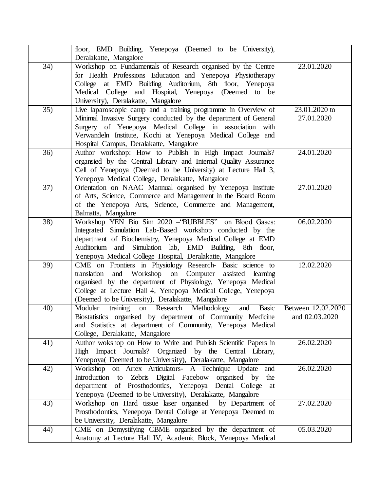|                 | floor, EMD Building, Yenepoya (Deemed to be University),<br>Deralakatte, Mangalore                                                                                                                                                                                                                          |                                      |
|-----------------|-------------------------------------------------------------------------------------------------------------------------------------------------------------------------------------------------------------------------------------------------------------------------------------------------------------|--------------------------------------|
| 34)             | Workshop on Fundamentals of Research organised by the Centre<br>for Health Professions Education and Yenepoya Physiotherapy<br>College at EMD Building Auditorium, 8th floor, Yenepoya<br>Medical College and Hospital, Yenepoya (Deemed to be<br>University), Deralakatte, Mangalore                       | 23.01.2020                           |
| 35)             | Live laparoscopic camp and a training programme in Overview of<br>Minimal Invasive Surgery conducted by the department of General<br>Surgery of Yenepoya Medical College in association with<br>Verwandeln Institute, Kochi at Yenepoya Medical College and<br>Hospital Campus, Deralakatte, Mangalore      | 23.01.2020 to<br>27.01.2020          |
| $\overline{36}$ | Author workshop: How to Publish in High Impact Journals?<br>organsied by the Central Library and Internal Quality Assurance<br>Cell of Yenepoya (Deemed to be University) at Lecture Hall 3,<br>Yenepoya Medical College, Deralakatte, Mangalore                                                            | 24.01.2020                           |
| 37)             | Orientation on NAAC Mannual organised by Yenepoya Institute<br>of Arts, Science, Commerce and Management in the Board Room<br>of the Yenepoya Arts, Science, Commerce and Management,<br>Balmatta, Mangalore                                                                                                | 27.01.2020                           |
| 38)             | Workshop YEN Bio Sim 2020 - "BUBBLES" on Blood Gases:<br>Integrated Simulation Lab-Based workshop conducted by the<br>department of Biochemistry, Yenepoya Medical College at EMD<br>Auditorium and Simulation lab, EMD Building, 8th floor,<br>Yenepoya Medical College Hospital, Deralakatte, Mangalore   | 06.02.2020                           |
| 39)             | CME on Frontiers in Physiology Research- Basic science to<br>and Workshop on Computer assisted learning<br>translation<br>organised by the department of Physiology, Yenepoya Medical<br>College at Lecture Hall 4, Yenepoya Medical College, Yenepoya<br>(Deemed to be University), Deralakatte, Mangalore | 12.02.2020                           |
| 40)             | on Research Methodology<br>Basic<br>Modular<br>training<br>and<br>Biostatistics organised by department of Community Medicine<br>and Statistics at department of Community, Yenepoya Medical<br>College, Deralakatte, Mangalore                                                                             | Between 12.02.2020<br>and 02.03.2020 |
| 41)             | Author wokshop on How to Write and Publish Scientific Papers in<br>High Impact Journals? Organized by the Central Library,<br>Yenepoya( Deemed to be University), Deralakatte, Mangalore                                                                                                                    | 26.02.2020                           |
| 42)             | Workshop on Artex Articulators- A Technique Update<br>and<br>Introduction to Zebris Digital Facebow organised by<br>the<br>of Prosthodontics, Yenepoya Dental College<br>department<br>at<br>Yenepoya (Deemed to be University), Deralakatte, Mangalore                                                     | 26.02.2020                           |
| 43)             | Workshop on Hard tissue laser organised by Department of<br>Prosthodontics, Yenepoya Dental College at Yenepoya Deemed to<br>be University, Deralakatte, Mangalore                                                                                                                                          | 27.02.2020                           |
| 44)             | CME on Demystifying CBME organised by the department of<br>Anatomy at Lecture Hall IV, Academic Block, Yenepoya Medical                                                                                                                                                                                     | 05.03.2020                           |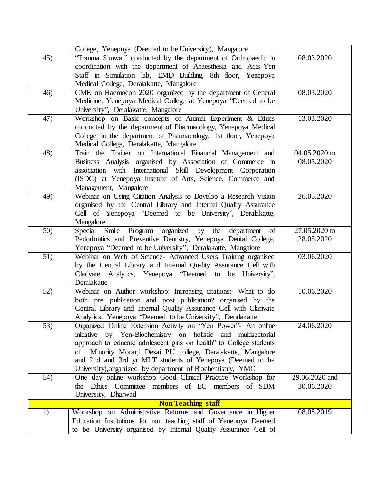|     | College, Yenepoya (Deemed to be University), Mangalore              |                |
|-----|---------------------------------------------------------------------|----------------|
| 45) | "Trauma Simwar" conducted by the department of Orthopaedic in       | 08.03.2020     |
|     | coordination with the department of Anaesthesia and Acts-Yen        |                |
|     | Staff in Simulation lab, EMD Building, 8th floor, Yenepoya          |                |
|     | Medical College, Deralakatte, Mangalore                             |                |
| 46) | CME on Haemocon 2020 organized by the department of General         | 08.03.2020     |
|     | Medicine, Yenepoya Medical College at Yenepoya "Deemed to be        |                |
|     | University", Deralakatte, Mangalore                                 |                |
| 47) | Workshop on Basic concepts of Animal Experiment & Ethics            | 13.03.2020     |
|     | conducted by the department of Pharmacology, Yenepoya Medical       |                |
|     | College in the department of Pharmacology, 1st floor, Yenepoya      |                |
|     | Medical College, Deralakatte, Mangalore                             |                |
| 48) | Train the Trainer on International Financial Management and         | 04.05.2020 to  |
|     |                                                                     |                |
|     | Business Analysis organised by Association of Commerce in           | 08.05.2020     |
|     | association with International Skill Development Corporation        |                |
|     | (ISDC) at Yenepoya Institute of Arts, Science, Commerce and         |                |
|     | Management, Mangalore                                               |                |
| 49) | Webinar on Using Citation Analysis to Develop a Research Vision     | 26.05.2020     |
|     | organised by the Central Library and Internal Quality Assurance     |                |
|     | Cell of Yenepoya "Deemed to be University", Deralakatte,            |                |
|     | Mangalore                                                           |                |
| 50) | Special Smile Program organized by the<br>department<br>of          | 27.05.2020 to  |
|     | Pedodontics and Preventive Dentistry, Yenepoya Dental College,      | 28.05.2020     |
|     | Yenepoya "Deemed to be University", Deralakatte, Mangalore          |                |
| 51) | Webinar on Web of Science- Advanced Users Training organised        | 03.06.2020     |
|     | by the Central Library and Internal Quality Assurance Cell with     |                |
|     | Clarivate Analytics, Yenepoya "Deemed to be University",            |                |
|     | Deralakatte                                                         |                |
| 52) | Webinar on Author workshop: Increasing citations:- What to do       | 10.06.2020     |
|     | both pre publication and post publication? organised by the         |                |
|     | Central Library and Internal Quality Assurance Cell with Clarivate  |                |
|     | Analytics, Yenepoya "Deemed to be University", Deralakatte          |                |
| 53) | Organized Online Extension Activity on "Yen Power"- An online       | 24.06.2020     |
|     | initiative by Yen-Biochemistry on holistic and multisectorial       |                |
|     |                                                                     |                |
|     | approach to educate adolescent girls on health" to College students |                |
|     | Minority Morarji Desai PU college, Deralakatte, Mangalore<br>of     |                |
|     | and 2nd and 3rd yr MLT students of Yenepoya (Deemed to be           |                |
|     | University), organized by department of Biochemistry, YMC           |                |
| 54) | One day online workshop Good Clinical Practice Workshop for         | 29.06.2020 and |
|     | the Ethics Committee members of EC members of SDM                   | 30.06.2020     |
|     | University, Dharwad                                                 |                |
|     | <b>Non Teaching staff</b>                                           |                |
| 1)  | Workshop on Administrative Reforms and Governance in Higher         | 08.08.2019     |
|     | Education Institutions for non teaching staff of Yenepoya Deemed    |                |
|     | to be University organised by Internal Quality Assurance Cell of    |                |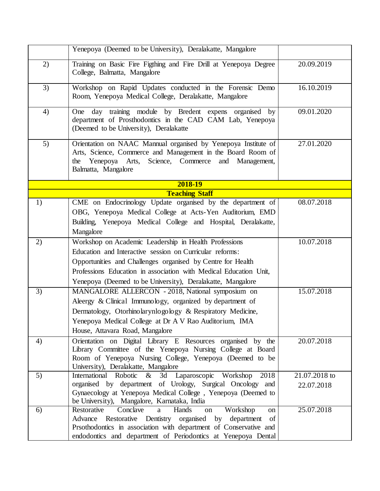|    | Yenepoya (Deemed to be University), Deralakatte, Mangalore                                                                                                                                                            |               |
|----|-----------------------------------------------------------------------------------------------------------------------------------------------------------------------------------------------------------------------|---------------|
| 2) | Training on Basic Fire Figthing and Fire Drill at Yenepoya Degree<br>College, Balmatta, Mangalore                                                                                                                     | 20.09.2019    |
| 3) | Workshop on Rapid Updates conducted in the Forensic Demo<br>Room, Yenepoya Medical College, Deralakatte, Mangalore                                                                                                    | 16.10.2019    |
| 4) | day training module by Bredent expens organised<br>One<br>by<br>department of Prosthodontics in the CAD CAM Lab, Yenepoya<br>(Deemed to be University), Deralakatte                                                   | 09.01.2020    |
| 5) | Orientation on NAAC Mannual organised by Yenepoya Institute of<br>Arts, Science, Commerce and Management in the Board Room of<br>Science, Commerce<br>Yenepoya Arts,<br>and Management,<br>the<br>Balmatta, Mangalore | 27.01.2020    |
|    | 2018-19                                                                                                                                                                                                               |               |
|    | <b>Teaching Staff</b>                                                                                                                                                                                                 |               |
| 1) | CME on Endocrinology Update organised by the department of<br>OBG, Yenepoya Medical College at Acts-Yen Auditorium, EMD<br>Building, Yenepoya Medical College and Hospital, Deralakatte,<br>Mangalore                 | 08.07.2018    |
| 2) | Workshop on Academic Leadership in Health Professions                                                                                                                                                                 | 10.07.2018    |
|    | Education and Interactive session on Curricular reforms:                                                                                                                                                              |               |
|    | Opportunities and Challenges organised by Centre for Health                                                                                                                                                           |               |
|    | Professions Education in association with Medical Education Unit,                                                                                                                                                     |               |
|    | Yenepoya (Deemed to be University), Deralakatte, Mangalore                                                                                                                                                            |               |
| 3) | MANGALORE ALLERCON - 2018, National symposium on                                                                                                                                                                      | 15.07.2018    |
|    | Aleergy & Clinical Immunology, organized by department of                                                                                                                                                             |               |
|    | Dermatology, Otorhinolarynlogology & Respiratory Medicine,                                                                                                                                                            |               |
|    | Yenepoya Medical College at Dr A V Rao Auditorium, IMA                                                                                                                                                                |               |
|    | House, Attavara Road, Mangalore                                                                                                                                                                                       |               |
| 4) | Orientation on Digital Library E Resources organised by the                                                                                                                                                           | 20.07.2018    |
|    | Library Committee of the Yenepoya Nursing College at Board                                                                                                                                                            |               |
|    | Room of Yenepoya Nursing College, Yenepoya (Deemed to be<br>University), Deralakatte, Mangalore                                                                                                                       |               |
| 5) | 3d Laparoscopic Workshop<br>International Robotic<br>$\&$<br>2018                                                                                                                                                     | 21.07.2018 to |
|    | organised by department of Urology, Surgical Oncology and                                                                                                                                                             | 22.07.2018    |
|    | Gynaecology at Yenepoya Medical College, Yenepoya (Deemed to                                                                                                                                                          |               |
|    | be University), Mangalore, Karnataka, India                                                                                                                                                                           |               |
| 6) | Conclave<br>Restorative<br>Hands<br>Workshop<br>a<br>on<br>on                                                                                                                                                         | 25.07.2018    |
|    | Restorative Dentistry organised by<br>of<br>Advance<br>department<br>Prsothodontics in association with department of Conservative and                                                                                |               |
|    | endodontics and department of Periodontics at Yenepoya Dental                                                                                                                                                         |               |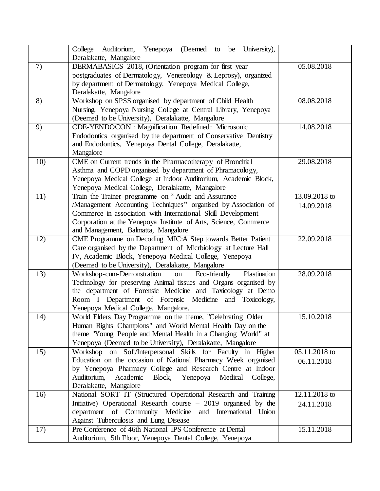|     | College<br>Auditorium,<br>Yenepoya<br>(Deemed to<br>University),<br>be<br>Deralakatte, Mangalore                                                                                                                                                                                                     |                             |
|-----|------------------------------------------------------------------------------------------------------------------------------------------------------------------------------------------------------------------------------------------------------------------------------------------------------|-----------------------------|
| 7)  | DERMABASICS 2018, (Orientation program for first year<br>postgraduates of Dermatology, Venereology & Leprosy), organized<br>by department of Dermatology, Yenepoya Medical College,<br>Deralakatte, Mangalore                                                                                        | 05.08.2018                  |
| 8)  | Workshop on SPSS organised by department of Child Health<br>Nursing, Yenepoya Nursing College at Central Library, Yenepoya<br>(Deemed to be University), Deralakatte, Mangalore                                                                                                                      | 08.08.2018                  |
| 9)  | <b>CDE-YENDOCON</b> : Magnification Redefined: Microsonic<br>Endodontics organised by the department of Conservative Dentistry<br>and Endodontics, Yenepoya Dental College, Deralakatte,<br>Mangalore                                                                                                | 14.08.2018                  |
| 10) | CME on Current trends in the Pharmacotherapy of Bronchial<br>Asthma and COPD organised by department of Phramacology,<br>Yenepoya Medical College at Indoor Auditorium, Academic Block,<br>Yenepoya Medical College, Deralakatte, Mangalore                                                          | 29.08.2018                  |
| 11) | Train the Trainer programme on "Audit and Assurance<br>/Management Accounting Techniques" organised by Association of<br>Commerce in association with International Skill Development<br>Corporation at the Yenepoya Institute of Arts, Science, Commerce<br>and Management, Balmatta, Mangalore     | 13.09.2018 to<br>14.09.2018 |
| 12) | CME Programme on Decoding MIC:A Step towards Better Patient<br>Care organised by the Department of Microiology at Lecture Hall<br>IV, Academic Block, Yenepoya Medical College, Yenepoya<br>(Deemed to be University), Deralakatte, Mangalore                                                        | 22.09.2018                  |
| 13) | Workshop-cum-Demonstration<br>Eco-friendly<br>Plastination<br>on<br>Technology for preserving Animal tissues and Organs organised by<br>the department of Forensic Medicine and Taxicology at Demo<br>Room I Department of Forensic Medicine and Toxicology,<br>Yenepoya Medical College, Mangalore. | 28.09.2018                  |
| 14) | World Elders Day Programme on the theme, "Celebrating Older<br>Human Rights Champions" and World Mental Health Day on the<br>theme "Young People and Mental Health in a Changing World" at<br>Yenepoya (Deemed to be University), Deralakatte, Mangalore                                             | 15.10.2018                  |
| 15) | Workshop on Soft/Interpersonal Skills for Faculty in Higher<br>Education on the occasion of National Pharmacy Week organised<br>by Yenepoya Pharmacy College and Research Centre at Indoor<br>Auditorium,<br>Academic<br>Block,<br>Yenepoya<br>Medical<br>College,<br>Deralakatte, Mangalore         | 05.11.2018 to<br>06.11.2018 |
| 16) | National SORT IT (Structured Operational Research and Training<br>Initiative) Operational Research course $-2019$ organised by the<br>department of Community Medicine<br>and International Union<br>Against Tuberculosis and Lung Disease                                                           | 12.11.2018 to<br>24.11.2018 |
| 17) | Pre Conference of 46th National IPS Conference at Dental<br>Auditorium, 5th Floor, Yenepoya Dental College, Yenepoya                                                                                                                                                                                 | 15.11.2018                  |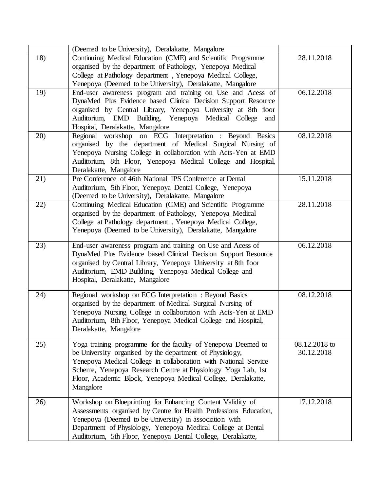|     | (Deemed to be University), Deralakatte, Mangalore                                                                                                                                                                                                                                                                                          |                             |
|-----|--------------------------------------------------------------------------------------------------------------------------------------------------------------------------------------------------------------------------------------------------------------------------------------------------------------------------------------------|-----------------------------|
| 18) | Continuing Medical Education (CME) and Scientific Programme<br>organised by the department of Pathology, Yenepoya Medical<br>College at Pathology department, Yenepoya Medical College,<br>Yenepoya (Deemed to be University), Deralakatte, Mangalore                                                                                      | 28.11.2018                  |
| 19) | End-user awareness program and training on Use and Acess of<br>DynaMed Plus Evidence based Clinical Decision Support Resource<br>organised by Central Library, Yenepoya University at 8th floor<br>Auditorium, EMD Building, Yenepoya Medical College<br>and<br>Hospital, Deralakatte, Mangalore                                           | 06.12.2018                  |
| 20) | Regional workshop on ECG Interpretation : Beyond Basics<br>organised by the department of Medical Surgical Nursing of<br>Yenepoya Nursing College in collaboration with Acts-Yen at EMD<br>Auditorium, 8th Floor, Yenepoya Medical College and Hospital,<br>Deralakatte, Mangalore                                                         | 08.12.2018                  |
| 21) | Pre Conference of 46th National IPS Conference at Dental<br>Auditorium, 5th Floor, Yenepoya Dental College, Yenepoya<br>(Deemed to be University), Deralakatte, Mangalore                                                                                                                                                                  | $15.11.\overline{2018}$     |
| 22) | Continuing Medical Education (CME) and Scientific Programme<br>organised by the department of Pathology, Yenepoya Medical<br>College at Pathology department, Yenepoya Medical College,<br>Yenepoya (Deemed to be University), Deralakatte, Mangalore                                                                                      | 28.11.2018                  |
| 23) | End-user awareness program and training on Use and Acess of<br>DynaMed Plus Evidence based Clinical Decision Support Resource<br>organised by Central Library, Yenepoya University at 8th floor<br>Auditorium, EMD Building, Yenepoya Medical College and<br>Hospital, Deralakatte, Mangalore                                              | 06.12.2018                  |
| 24) | Regional workshop on ECG Interpretation : Beyond Basics<br>organised by the department of Medical Surgical Nursing of<br>Yenepoya Nursing College in collaboration with Acts-Yen at EMD<br>Auditorium, 8th Floor, Yenepoya Medical College and Hospital,<br>Deralakatte, Mangalore                                                         | 08.12.2018                  |
| 25) | Yoga training programme for the faculty of Yenepoya Deemed to<br>be University organised by the department of Physiology,<br>Yenepoya Medical College in collaboration with National Service<br>Scheme, Yenepoya Research Centre at Physiology Yoga Lab, 1st<br>Floor, Academic Block, Yenepoya Medical College, Deralakatte,<br>Mangalore | 08.12.2018 to<br>30.12.2018 |
| 26) | Workshop on Blueprinting for Enhancing Content Validity of<br>Assessments organised by Centre for Health Professions Education,<br>Yenepoya (Deemed to be University) in association with<br>Department of Physiology, Yenepoya Medical College at Dental<br>Auditorium, 5th Floor, Yenepoya Dental College, Deralakatte,                  | 17.12.2018                  |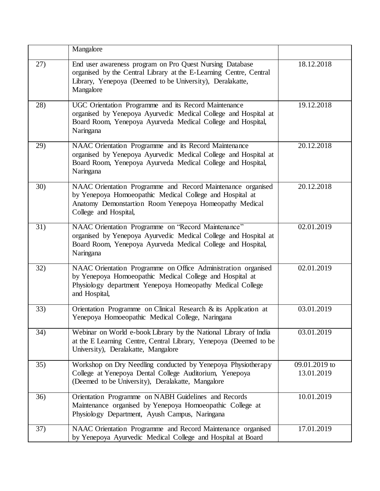|     | Mangalore                                                                                                                                                                                                  |                             |
|-----|------------------------------------------------------------------------------------------------------------------------------------------------------------------------------------------------------------|-----------------------------|
| 27) | End user awareness program on Pro Quest Nursing Database<br>organised by the Central Library at the E-Learning Centre, Central<br>Library, Yenepoya (Deemed to be University), Deralakatte,<br>Mangalore   | 18.12.2018                  |
| 28) | UGC Orientation Programme and its Record Maintenance<br>organised by Yenepoya Ayurvedic Medical College and Hospital at<br>Board Room, Yenepoya Ayurveda Medical College and Hospital,<br>Naringana        | 19.12.2018                  |
| 29) | NAAC Orientation Programme and its Record Maintenance<br>organised by Yenepoya Ayurvedic Medical College and Hospital at<br>Board Room, Yenepoya Ayurveda Medical College and Hospital,<br>Naringana       | 20.12.2018                  |
| 30) | NAAC Orientation Programme and Record Maintenance organised<br>by Yenepoya Homoeopathic Medical College and Hospital at<br>Anatomy Demonstartion Room Yenepoya Homeopathy Medical<br>College and Hospital, | 20.12.2018                  |
| 31) | NAAC Orientation Programme on "Record Maintenance"<br>organised by Yenepoya Ayurvedic Medical College and Hospital at<br>Board Room, Yenepoya Ayurveda Medical College and Hospital,<br>Naringana          | 02.01.2019                  |
| 32) | NAAC Orientation Programme on Office Administration organised<br>by Yenepoya Homoeopathic Medical College and Hospital at<br>Physiology department Yenepoya Homeopathy Medical College<br>and Hospital,    | 02.01.2019                  |
| 33) | Orientation Programme on Clinical Research & its Application at<br>Yenepoya Homoeopathic Medical College, Naringana                                                                                        | 03.01.2019                  |
| 34) | Webinar on World e-book Library by the National Library of India<br>at the E Learning Centre, Central Library, Yenepoya (Deemed to be<br>University), Deralakatte, Mangalore                               | 03.01.2019                  |
| 35) | Workshop on Dry Needling conducted by Yenepoya Physiotherapy<br>College at Yenepoya Dental College Auditorium, Yenepoya<br>(Deemed to be University), Deralakatte, Mangalore                               | 09.01.2019 to<br>13.01.2019 |
| 36) | Orientation Programme on NABH Guidelines and Records<br>Maintenance organised by Yenepoya Homoeopathic College at<br>Physiology Department, Ayush Campus, Naringana                                        | 10.01.2019                  |
| 37) | NAAC Orientation Programme and Record Maintenance organised<br>by Yenepoya Ayurvedic Medical College and Hospital at Board                                                                                 | 17.01.2019                  |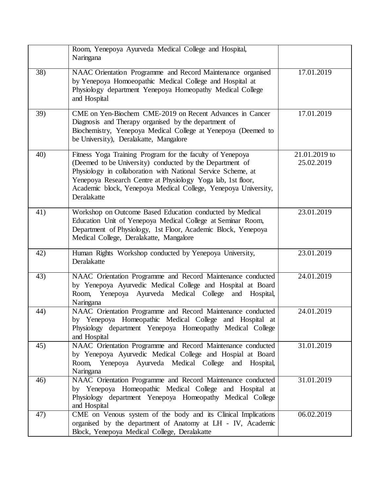|     | Room, Yenepoya Ayurveda Medical College and Hospital,<br>Naringana                                                                                                                                                                                                                                                                    |                             |
|-----|---------------------------------------------------------------------------------------------------------------------------------------------------------------------------------------------------------------------------------------------------------------------------------------------------------------------------------------|-----------------------------|
| 38) | NAAC Orientation Programme and Record Maintenance organised<br>by Yenepoya Homoeopathic Medical College and Hospital at<br>Physiology department Yenepoya Homeopathy Medical College<br>and Hospital                                                                                                                                  | 17.01.2019                  |
| 39) | CME on Yen-Biochem CME-2019 on Recent Advances in Cancer<br>Diagnosis and Therapy organised by the department of<br>Biochemistry, Yenepoya Medical College at Yenepoya (Deemed to<br>be University), Deralakatte, Mangalore                                                                                                           | 17.01.2019                  |
| 40) | Fitness Yoga Training Program for the faculty of Yenepoya<br>(Deemed to be University) conducted by the Department of<br>Physiology in collaboration with National Service Scheme, at<br>Yenepoya Research Centre at Physiology Yoga lab, 1st floor,<br>Academic block, Yenepoya Medical College, Yenepoya University,<br>Deralakatte | 21.01.2019 to<br>25.02.2019 |
| 41) | Workshop on Outcome Based Education conducted by Medical<br>Education Unit of Yenepoya Medical College at Seminar Room,<br>Department of Physiology, 1st Floor, Academic Block, Yenepoya<br>Medical College, Deralakatte, Mangalore                                                                                                   | 23.01.2019                  |
| 42) | Human Rights Workshop conducted by Yenepoya University,<br>Deralakatte                                                                                                                                                                                                                                                                | 23.01.2019                  |
| 43) | NAAC Orientation Programme and Record Maintenance conducted<br>by Yenepoya Ayurvedic Medical College and Hospital at Board<br>Room, Yenepoya Ayurveda Medical College<br>and Hospital,<br>Naringana                                                                                                                                   | 24.01.2019                  |
| 44) | NAAC Orientation Programme and Record Maintenance conducted<br>by Yenepoya Homeopathic Medical College and Hospital at<br>Physiology department Yenepoya Homeopathy Medical College<br>and Hospital                                                                                                                                   | 24.01.2019                  |
| 45) | NAAC Orientation Programme and Record Maintenance conducted<br>by Yenepoya Ayurvedic Medical College and Hospial at Board<br>Room, Yenepoya Ayurveda Medical College and Hospital,<br>Naringana                                                                                                                                       | 31.01.2019                  |
| 46) | NAAC Orientation Programme and Record Maintenance conducted<br>by Yenepoya Homeopathic Medical College and Hospital at<br>Physiology department Yenepoya Homeopathy Medical College<br>and Hospital                                                                                                                                   | 31.01.2019                  |
| 47) | CME on Venous system of the body and its Clinical Implications<br>organised by the department of Anatomy at LH - IV, Academic<br>Block, Yenepoya Medical College, Deralakatte                                                                                                                                                         | $06.02.\overline{2019}$     |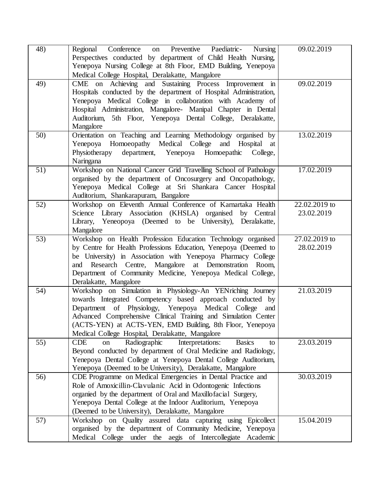| 48) | Regional Conference<br>on Preventive Paediatric-<br>Nursing<br>Perspectives conducted by department of Child Health Nursing,<br>Yenepoya Nursing College at 8th Floor, EMD Building, Yenepoya<br>Medical College Hospital, Deralakatte, Mangalore                                                                                                                    | 09.02.2019                    |
|-----|----------------------------------------------------------------------------------------------------------------------------------------------------------------------------------------------------------------------------------------------------------------------------------------------------------------------------------------------------------------------|-------------------------------|
| 49) | CME on Achieving and Sustaining Process Improvement in<br>Hospitals conducted by the department of Hospital Administration,<br>Yenepoya Medical College in collaboration with Academy of<br>Hospital Administration, Mangalore- Manipal Chapter in Dental<br>Auditorium, 5th Floor, Yenepoya Dental College, Deralakatte,<br>Mangalore                               | 09.02.2019                    |
| 50) | Orientation on Teaching and Learning Methodology organised by<br>Yenepoya Homoeopathy Medical College and Hospital at<br>Physiotherapy<br>department, Yenepoya Homoepathic College,<br>Naringana                                                                                                                                                                     | 13.02.2019                    |
| 51) | Workshop on National Cancer Grid Travelling School of Pathology<br>organised by the department of Oncosurgery and Oncopathology,<br>Yenepoya Medical College at Sri Shankara Cancer Hospital<br>Auditorium, Shankarapuram, Bangalore                                                                                                                                 | 17.02.2019                    |
| 52) | Workshop on Eleventh Annual Conference of Karnartaka Health<br>Science Library Association (KHSLA) organised by Central<br>Library, Yeneopoya (Deemed to be University), Deralakatte,<br>Mangalore                                                                                                                                                                   | 22.02.2019 to<br>23.02.2019   |
| 53) | Workshop on Health Profession Education Technology organised<br>by Centre for Health Professions Education, Yenepoya (Deemed to<br>be University) in Association with Yenepoya Pharmacy College<br>and Research Centre, Mangalore at Demonstration Room,<br>Department of Community Medicine, Yenepoya Medical College,<br>Deralakatte, Mangalore                    | $27.02.2019$ to<br>28.02.2019 |
| 54) | Workshop on Simulation in Physiology-An YENriching Journey<br>towards Integrated Competency based approach conducted by<br>Department of Physiology, Yenepoya Medical College and<br>Advanced Comprehensive Clinical Training and Simulation Center<br>(ACTS-YEN) at ACTS-YEN, EMD Building, 8th Floor, Yenepoya<br>Medical College Hospital, Deralakatte, Mangalore | 21.03.2019                    |
| 55) | Radiographic<br><b>CDE</b><br>Interpretations:<br><b>Basics</b><br>on<br>to<br>Beyond conducted by department of Oral Medicine and Radiology,<br>Yenepoya Dental College at Yenepoya Dental College Auditorium,<br>Yenepoya (Deemed to be University), Deralakatte, Mangalore                                                                                        | 23.03.2019                    |
| 56) | CDE Programme on Medical Emergencies in Dental Practice and<br>Role of Amoxicillin-Clavulanic Acid in Odontogenic Infections<br>organied by the department of Oral and Maxillofacial Surgery,<br>Yenepoya Dental College at the Indoor Auditorium, Yenepoya<br>(Deemed to be University), Deralakatte, Mangalore                                                     | 30.03.2019                    |
| 57) | Workshop on Quality assured data capturing using Epicollect<br>organised by the department of Community Medicine, Yenepoya<br>Medical College under the aegis of Intercollegiate<br>Academic                                                                                                                                                                         | 15.04.2019                    |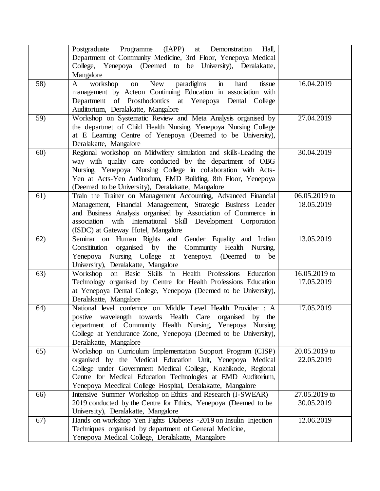|     | Postgraduate Programme (IAPP)<br>at Demonstration<br>Hall,<br>Department of Community Medicine, 3rd Floor, Yenepoya Medical<br>College, Yenepoya (Deemed to be University), Deralakatte,<br>Mangalore                                                                                                                    |                             |
|-----|--------------------------------------------------------------------------------------------------------------------------------------------------------------------------------------------------------------------------------------------------------------------------------------------------------------------------|-----------------------------|
| 58) | paradigims<br>$\mathbf{in}$<br>New<br>workshop<br>$\mathbf{A}$<br>hard<br>tissue<br>on<br>management by Acteon Continuing Education in association with<br>Department of Prosthodontics at Yenepoya Dental College<br>Auditorium, Deralakatte, Mangalore                                                                 | 16.04.2019                  |
| 59) | Workshop on Systematic Review and Meta Analysis organised by<br>the departmet of Child Health Nursing, Yenepoya Nursing College<br>at E Learning Centre of Yenepoya (Deemed to be University),<br>Deralakatte, Mangalore                                                                                                 | 27.04.2019                  |
| 60) | Regional workshop on Midwifery simulation and skills-Leading the<br>way with quality care conducted by the department of OBG<br>Nursing, Yenepoya Nursing College in collaboration with Acts-<br>Yen at Acts-Yen Auditorium, EMD Building, 8th Floor, Yenepoya<br>(Deemed to be University), Deralakatte, Mangalore      | 30.04.2019                  |
| 61) | Train the Trainer on Management Accounting, Advanced Financial<br>Management, Financial Manageement, Strategic Business Leader<br>and Business Analysis organised by Association of Commerce in<br>association with International Skill Development Corporation<br>(ISDC) at Gateway Hotel, Mangalore                    | 06.05.2019 to<br>18.05.2019 |
| 62) | Seminar on Human Rights and Gender Equality and Indian<br>Community Health Nursing,<br>Consititution<br>organised by<br>the<br>Yenepoya Nursing College<br>Yenepoya (Deemed<br>at<br>to<br>be<br>University), Deralakatte, Mangalore                                                                                     | 13.05.2019                  |
| 63) | on Basic Skills in Health Professions Education<br>Workshop<br>Technology organised by Centre for Health Professions Education<br>at Yenepoya Dental College, Yenepoya (Deemed to be University),<br>Deralakatte, Mangalore                                                                                              | 16.05.2019 to<br>17.05.2019 |
| 64) | National level confernce on Middle Level Health Provider : A<br>postive wavelength towards Health Care organised by the<br>department of Community Health Nursing, Yenepoya Nursing<br>College at Yendurance Zone, Yenepoya (Deemed to be University),<br>Deralakatte, Mangalore                                         | 17.05.2019                  |
| 65) | Workshop on Curriculum Implementation Support Program (CISP)<br>organised by the Medical Education Unit, Yenepoya Medical<br>College under Government Medical College, Kozhikode, Regional<br>Centre for Medical Education Technologies at EMD Auditorium,<br>Yenepoya Meedical College Hospital, Deralakatte, Mangalore | 20.05.2019 to<br>22.05.2019 |
| 66) | Intensive Summer Workshop on Ethics and Research (I-SWEAR)<br>2019 conducted by the Centre for Ethics, Yenepoya (Deemed to be<br>University), Deralakatte, Mangalore                                                                                                                                                     | 27.05.2019 to<br>30.05.2019 |
| 67) | Hands on workshop Yen Fights Diabetes -2019 on Insulin Injection<br>Techniques organised by department of General Medicine,<br>Yenepoya Medical College, Deralakatte, Mangalore                                                                                                                                          | 12.06.2019                  |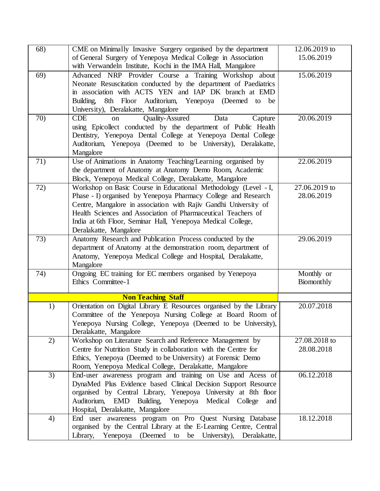| 68) | CME on Minimally Invasive Surgery organised by the department<br>of General Surgery of Yenepoya Medical College in Association                                                                                                                                                                                                                                  | 12.06.2019 to<br>15.06.2019 |
|-----|-----------------------------------------------------------------------------------------------------------------------------------------------------------------------------------------------------------------------------------------------------------------------------------------------------------------------------------------------------------------|-----------------------------|
| 69) | with Verwandeln Institute, Kochi in the IMA Hall, Mangalore<br>Advanced NRP Provider Course a Training Workshop about                                                                                                                                                                                                                                           | 15.06.2019                  |
|     | Neonate Resuscitation conducted by the department of Paediatrics<br>in association with ACTS YEN and IAP DK branch at EMD<br>8th Floor Auditorium,<br>Yenepoya (Deemed to be<br>Building,                                                                                                                                                                       |                             |
|     | University), Deralakatte, Mangalore                                                                                                                                                                                                                                                                                                                             |                             |
| 70) | <b>Quality-Assured</b><br><b>CDE</b><br>Capture<br>Data<br><sub>on</sub><br>using Epicollect conducted by the department of Public Health<br>Dentistry, Yenepoya Dental College at Yenepoya Dental College<br>Auditorium, Yenepoya (Deemed to be University), Deralakatte,<br>Mangalore                                                                         | 20.06.2019                  |
| 71) | Use of Animations in Anatomy Teaching/Learning organised by<br>the department of Anatomy at Anatomy Demo Room, Academic<br>Block, Yenepoya Medical College, Deralakatte, Mangalore                                                                                                                                                                              | 22.06.2019                  |
| 72) | Workshop on Basic Course in Educational Methodology (Level - I,<br>Phase - I) organised by Yenepoya Pharmacy College and Research<br>Centre, Mangalore in association with Rajiv Gandhi University of<br>Health Sciences and Association of Pharmaceutical Teachers of<br>India at 6th Floor, Seminar Hall, Yenepoya Medical College,<br>Deralakatte, Mangalore | 27.06.2019 to<br>28.06.2019 |
| 73) | Anatomy Research and Publication Process conducted by the<br>department of Anatomy at the demonstration room, department of<br>Anatomy, Yenepoya Medical College and Hospital, Deralakatte,<br>Mangalore                                                                                                                                                        | 29.06.2019                  |
| 74) | Ongoing EC training for EC members organised by Yenepoya<br>Ethics Committee-1                                                                                                                                                                                                                                                                                  | Monthly or<br>Biomonthly    |
|     | <b>Non Teaching Staff</b>                                                                                                                                                                                                                                                                                                                                       |                             |
| 1)  | Orientation on Digital Library E Resources organised by the Library<br>Committee of the Yenepoya Nursing College at Board Room of<br>Yenepoya Nursing College, Yenepoya (Deemed to be University),<br>Deralakatte, Mangalore                                                                                                                                    | 20.07.2018                  |
| 2)  | Workshop on Literature Search and Reference Management by<br>Centre for Nutrition Study in collaboration with the Centre for<br>Ethics, Yenepoya (Deemed to be University) at Forensic Demo<br>Room, Yenepoya Medical College, Deralakatte, Mangalore                                                                                                           | 27.08.2018 to<br>28.08.2018 |
| 3)  | End-user awareness program and training on Use and Acess of<br>DynaMed Plus Evidence based Clinical Decision Support Resource<br>organised by Central Library, Yenepoya University at 8th floor<br>Auditorium, EMD Building, Yenepoya Medical College<br>and<br>Hospital, Deralakatte, Mangalore                                                                | $06.12.\overline{2018}$     |
| 4)  | End user awareness program on Pro Quest Nursing Database<br>organised by the Central Library at the E-Learning Centre, Central<br>Library, Yenepoya (Deemed to be University), Deralakatte,                                                                                                                                                                     | 18.12.2018                  |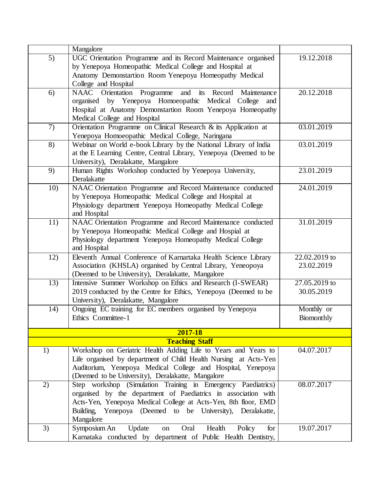|     | Mangalore                                                                                                                          |                             |
|-----|------------------------------------------------------------------------------------------------------------------------------------|-----------------------------|
| 5)  | UGC Orientation Programme and its Record Maintenance organised                                                                     | 19.12.2018                  |
|     | by Yenepoya Homeopathic Medical College and Hospital at                                                                            |                             |
|     | Anatomy Demonstartion Room Yenepoya Homeopathy Medical                                                                             |                             |
|     | College and Hospital                                                                                                               |                             |
| 6)  | and its Record<br>NAAC Orientation<br>Programme<br>Maintenance                                                                     | 20.12.2018                  |
|     | by Yenepoya Homoeopathic Medical College<br>organised<br>and                                                                       |                             |
|     | Hospital at Anatomy Demonstartion Room Yenepoya Homeopathy                                                                         |                             |
|     | Medical College and Hospital                                                                                                       |                             |
| 7)  | Orientation Programme on Clinical Research & its Application at                                                                    | 03.01.2019                  |
| 8)  | Yenepoya Homoeopathic Medical College, Naringana<br>Webinar on World e-book Library by the National Library of India               | 03.01.2019                  |
|     | at the E Learning Centre, Central Library, Yenepoya (Deemed to be                                                                  |                             |
|     | University), Deralakatte, Mangalore                                                                                                |                             |
| 9)  | Human Rights Workshop conducted by Yenepoya University,                                                                            | 23.01.2019                  |
|     | Deralakatte                                                                                                                        |                             |
| 10) | NAAC Orientation Programme and Record Maintenance conducted                                                                        | 24.01.2019                  |
|     | by Yenepoya Homeopathic Medical College and Hospital at                                                                            |                             |
|     | Physiology department Yenepoya Homeopathy Medical College                                                                          |                             |
|     | and Hospital                                                                                                                       |                             |
| 11) | NAAC Orientation Programme and Record Maintenance conducted                                                                        | 31.01.2019                  |
|     | by Yenepoya Homeopathic Medical College and Hospial at                                                                             |                             |
|     | Physiology department Yenepoya Homeopathy Medical College                                                                          |                             |
|     | and Hospital                                                                                                                       |                             |
| 12) | Eleventh Annual Conference of Karnartaka Health Science Library<br>Association (KHSLA) organised by Central Library, Yeneopoya     | 22.02.2019 to<br>23.02.2019 |
|     | (Deemed to be University), Deralakatte, Mangalore                                                                                  |                             |
| 13) | Intensive Summer Workshop on Ethics and Research (I-SWEAR)                                                                         | 27.05.2019 to               |
|     | 2019 conducted by the Centre for Ethics, Yenepoya (Deemed to be                                                                    | 30.05.2019                  |
|     | University), Deralakatte, Mangalore                                                                                                |                             |
| 14) | Ongoing EC training for EC members organised by Yenepoya                                                                           | Monthly or                  |
|     | Ethics Committee-1                                                                                                                 | Biomonthly                  |
|     |                                                                                                                                    |                             |
|     | 2017-18                                                                                                                            |                             |
|     | <b>Teaching Staff</b>                                                                                                              |                             |
| 1)  | Workshop on Geriatric Health Adding Life to Years and Years to<br>Life organised by department of Child Health Nursing at Acts-Yen | 04.07.2017                  |
|     | Auditorium, Yenepoya Medical College and Hospital, Yenepoya                                                                        |                             |
|     | (Deemed to be University), Deralakatte, Mangalore                                                                                  |                             |
| 2)  | Step workshop (Simulation Training in Emergency Paediatrics)                                                                       | 08.07.2017                  |
|     | organised by the department of Paediatrics in association with                                                                     |                             |
|     | Acts-Yen, Yenepoya Medical College at Acts-Yen, 8th floor, EMD                                                                     |                             |
|     | Building, Yenepoya (Deemed to be University), Deralakatte,                                                                         |                             |
|     | Mangalore                                                                                                                          |                             |
| 3)  | Health<br>Symposium An<br>Update<br>Oral<br>Policy<br>for<br>on                                                                    | 19.07.2017                  |
|     | Karnataka conducted by department of Public Health Dentistry,                                                                      |                             |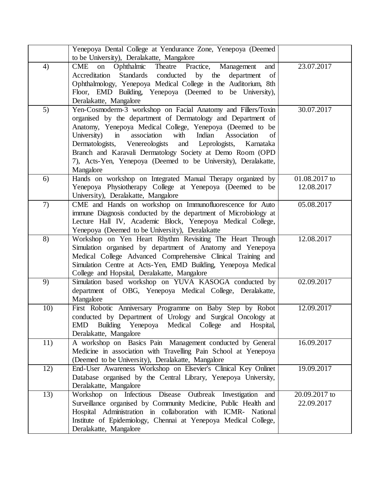|     | Yenepoya Dental College at Yendurance Zone, Yenepoya (Deemed<br>to be University), Deralakatte, Mangalore                                                                                                                                                                                                                                                                                                                                                                                             |                             |
|-----|-------------------------------------------------------------------------------------------------------------------------------------------------------------------------------------------------------------------------------------------------------------------------------------------------------------------------------------------------------------------------------------------------------------------------------------------------------------------------------------------------------|-----------------------------|
| 4)  | Ophthalmic<br>Theatre<br><b>CME</b><br>Practice,<br>Management<br>on<br>and<br>Accreditation<br>Standards conducted by the department<br>of<br>Ophthalmology, Yenepoya Medical College in the Auditorium, 8th<br>Floor, EMD Building, Yenepoya (Deemed to be University),<br>Deralakatte, Mangalore                                                                                                                                                                                                   | 23.07.2017                  |
| 5)  | Yen-Cosmoderm-3 workshop on Facial Anatomy and Fillers/Toxin<br>organised by the department of Dermatology and Department of<br>Anatomy, Yenepoya Medical College, Yenepoya (Deemed to be<br>University)<br>$\mathbf{in}$<br>association<br>with<br>Indian<br>Association<br>of<br>Dermatologists,<br>Venereologists<br>Leprologists,<br>and<br>Karnataka<br>Branch and Karavali Dermatology Society at Demo Room (OPD<br>7), Acts-Yen, Yenepoya (Deemed to be University), Deralakatte,<br>Mangalore | 30.07.2017                  |
| 6)  | Hands on workshop on Integrated Manual Therapy organized by<br>Yenepoya Physiotherapy College at Yenepoya (Deemed to be<br>University), Deralakatte, Mangalore                                                                                                                                                                                                                                                                                                                                        | 01.08.2017 to<br>12.08.2017 |
| 7)  | CME and Hands on workshop on Immunofluorescence for Auto<br>immune Diagnosis conducted by the department of Microbiology at<br>Lecture Hall IV, Academic Block, Yenepoya Medical College,<br>Yenepoya (Deemed to be University), Deralakatte                                                                                                                                                                                                                                                          | 05.08.2017                  |
| 8)  | Workshop on Yen Heart Rhythm Revisiting The Heart Through<br>Simulation organised by department of Anatomy and Yenepoya<br>Medical College Advanced Comprehensive Clinical Training and<br>Simulation Centre at Acts-Yen, EMD Building, Yenepoya Medical<br>College and Hopsital, Deralakatte, Mangalore                                                                                                                                                                                              | 12.08.2017                  |
| 9)  | Simulation based workshop on YUVA KASOGA conducted by<br>department of OBG, Yenepoya Medical College, Deralakatte,<br>Mangalore                                                                                                                                                                                                                                                                                                                                                                       | 02.09.2017                  |
| 10) | First Robotic Anniversary Programme on Baby Step by Robot<br>conducted by Department of Urology and Surgical Oncology at<br>EMD Building Yenepoya Medical College<br>and<br>Hospital,<br>Deralakatte, Mangalore                                                                                                                                                                                                                                                                                       | 12.09.2017                  |
| 11) | A workshop on Basics Pain Management conducted by General<br>Medicine in association with Travelling Pain School at Yenepoya<br>(Deemed to be University), Deralakatte, Mangalore                                                                                                                                                                                                                                                                                                                     | 16.09.2017                  |
| 12) | End-User Awareness Workshop on Elsevier's Clinical Key Onlinet<br>Database organised by the Central Library, Yenepoya University,<br>Deralakatte, Mangalore                                                                                                                                                                                                                                                                                                                                           | 19.09.2017                  |
| 13) | Workshop<br>on Infectious Disease Outbreak Investigation<br>and<br>Surveillance organised by Community Medicine, Public Health and<br>Hospital Administration in collaboration with ICMR- National<br>Institute of Epidemiology, Chennai at Yenepoya Medical College,<br>Deralakatte, Mangalore                                                                                                                                                                                                       | 20.09.2017 to<br>22.09.2017 |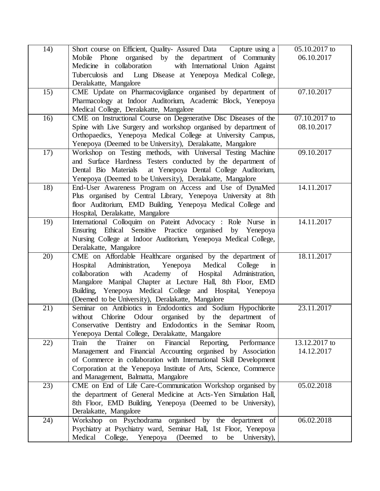| 14) | Short course on Efficient, Quality- Assured Data Capture using a<br>Mobile Phone organised by the department of Community<br>with International Union Against<br>Medicine in collaboration<br>Tuberculosis and Lung Disease at Yenepoya Medical College,<br>Deralakatte, Mangalore                                                                                                       | 05.10.2017 to<br>06.10.2017 |
|-----|------------------------------------------------------------------------------------------------------------------------------------------------------------------------------------------------------------------------------------------------------------------------------------------------------------------------------------------------------------------------------------------|-----------------------------|
| 15) | CME Update on Pharmacovigilance organised by department of<br>Pharmacology at Indoor Auditorium, Academic Block, Yenepoya<br>Medical College, Deralakatte, Mangalore                                                                                                                                                                                                                     | 07.10.2017                  |
| 16) | CME on Instructional Course on Degenerative Disc Diseases of the<br>Spine with Live Surgery and workshop organised by department of<br>Orthopaedics, Yenepoya Medical College at University Campus,<br>Yenepoya (Deemed to be University), Deralakatte, Mangalore                                                                                                                        | 07.10.2017 to<br>08.10.2017 |
| 17) | Workshop on Testing methods, with Universal Testing Machine<br>and Surface Hardness Testers conducted by the department of<br>Dental Bio Materials<br>at Yenepoya Dental College Auditorium,<br>Yenepoya (Deemed to be University), Deralakatte, Mangalore                                                                                                                               | 09.10.2017                  |
| 18) | End-User Awareness Program on Access and Use of DynaMed<br>Plus organised by Central Library, Yenepoya University at 8th<br>floor Auditorium, EMD Building, Yenepoya Medical College and<br>Hospital, Deralakatte, Mangalore                                                                                                                                                             | 14.11.2017                  |
| 19) | International Colloquim on Pateint Advocacy : Role Nurse in<br>Practice<br>Ensuring Ethical Sensitive<br>organised by Yenepoya<br>Nursing College at Indoor Auditorium, Yenepoya Medical College,<br>Deralakatte, Mangalore                                                                                                                                                              | 14.11.2017                  |
| 20) | CME on Affordable Healthcare organised by the department of<br>Hospital Administration,<br>Yenepoya Medical<br>College<br>$\mathbf{m}$<br>Academy of Hospital<br>with<br>collaboration<br>Administration,<br>Mangalore Manipal Chapter at Lecture Hall, 8th Floor, EMD<br>Building, Yenepoya Medical College and Hospital, Yenepoya<br>(Deemed to be University), Deralakatte, Mangalore | 18.11.2017                  |
| 21) | Seminar on Antibiotics in Endodontics and Sodium Hypochlorite<br>Odour organised<br>Chlorine<br>by<br>without<br>the department of<br>Conservative Dentistry and Endodontics in the Seminar Room,<br>Yenepoya Dental College, Deralakatte, Mangalore                                                                                                                                     | 23.11.2017                  |
| 22) | Financial<br>Reporting,<br>Train<br>Trainer<br>the<br>on<br>Performance<br>Management and Financial Accounting organised by Association<br>of Commerce in collaboration with International Skill Development<br>Corporation at the Yenepoya Institute of Arts, Science, Commerce<br>and Management, Balmatta, Mangalore                                                                  | 13.12.2017 to<br>14.12.2017 |
| 23) | CME on End of Life Care-Communication Workshop organised by<br>the department of General Medicine at Acts-Yen Simulation Hall,<br>8th Floor, EMD Building, Yenepoya (Deemed to be University),<br>Deralakatte, Mangalore                                                                                                                                                                 | 05.02.2018                  |
| 24) | on Psychodrama organised by the department of<br>Workshop<br>Psychiatry at Psychiatry ward, Seminar Hall, 1st Floor, Yenepoya<br>Medical<br>(Deemed<br>College,<br>Yenepoya<br>be<br>University),<br>to                                                                                                                                                                                  | 06.02.2018                  |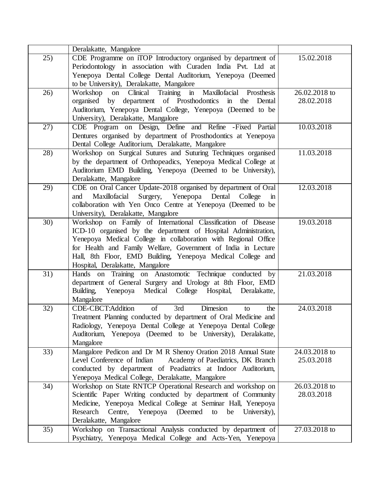|                 | Deralakatte, Mangalore                                                                                                                                                                                                                                                                                                                                                |                             |
|-----------------|-----------------------------------------------------------------------------------------------------------------------------------------------------------------------------------------------------------------------------------------------------------------------------------------------------------------------------------------------------------------------|-----------------------------|
| 25)             | CDE Programme on iTOP Introductory organised by department of<br>Periodontology in association with Curaden India Pvt. Ltd at<br>Yenepoya Dental College Dental Auditorium, Yenepoya (Deemed<br>to be University), Deralakatte, Mangalore                                                                                                                             | 15.02.2018                  |
| 26)             | in Maxillofacial Prosthesis<br>on Clinical Training<br>Workshop<br>organised by department of Prosthodontics<br>in the<br>Dental<br>Auditorium, Yenepoya Dental College, Yenepoya (Deemed to be<br>University), Deralakatte, Mangalore                                                                                                                                | 26.02.2018 to<br>28.02.2018 |
| 27)             | CDE Program on Design, Define and Refine - Fixed Partial<br>Dentures organised by department of Prosthodontics at Yenepoya<br>Dental College Auditorium, Deralakatte, Mangalore                                                                                                                                                                                       | 10.03.2018                  |
| 28)             | Workshop on Surgical Sutures and Suturing Techniques organised<br>by the department of Orthopeadics, Yenepoya Medical College at<br>Auditorium EMD Building, Yenepoya (Deemed to be University),<br>Deralakatte, Mangalore                                                                                                                                            | 11.03.2018                  |
| 29)             | CDE on Oral Cancer Update-2018 organised by department of Oral<br>Maxillofacial Surgery, Yenepopa Dental College<br>and<br>$\mathbf{m}$<br>collaboration with Yen Onco Centre at Yenepoya (Deemed to be<br>University), Deralakatte, Mangalore                                                                                                                        | 12.03.2018                  |
| 30)             | Workshop on Family of International Classification of Disease<br>ICD-10 organised by the department of Hospital Administration,<br>Yenepoya Medical College in collaboration with Regional Office<br>for Health and Family Welfare, Government of India in Lecture<br>Hall, 8th Floor, EMD Building, Yenepoya Medical College and<br>Hospital, Deralakatte, Mangalore | 19.03.2018                  |
| $\overline{31}$ | Hands on Training on Anastomotic Technique conducted by<br>department of General Surgery and Urology at 8th Floor, EMD<br>Building,<br>Medical College Hospital,<br>Yenepoya<br>Deralakatte,<br>Mangalore                                                                                                                                                             | 21.03.2018                  |
| 32)             | CDE-CBCT:Addition<br>of<br>3rd<br><b>Dimesion</b><br>the<br>to<br>Treatment Planning conducted by department of Oral Medicine and<br>Radiology, Yenepoya Dental College at Yenepoya Dental College<br>Auditorium, Yenepoya (Deemed to be University), Deralakatte,<br>Mangalore                                                                                       | 24.03.2018                  |
| 33)             | Mangalore Pedicon and Dr M R Shenoy Oration 2018 Annual State<br>Level Conference of Indian<br>Academy of Paediatrics, DK Branch<br>conducted by department of Peadiatrics at Indoor Auditorium,<br>Yenepoya Medical College, Deralakatte, Mangalore                                                                                                                  | 24.03.2018 to<br>25.03.2018 |
| 34)             | Workshop on State RNTCP Operational Research and workshop on<br>Scientific Paper Writing conducted by department of Community<br>Medicine, Yenepoya Medical College at Seminar Hall, Yenepoya<br>Centre, Yenepoya<br>(Deemed)<br>Research<br>to<br>be<br>University),<br>Deralakatte, Mangalore                                                                       | 26.03.2018 to<br>28.03.2018 |
| $\overline{35}$ | Workshop on Transactional Analysis conducted by department of<br>Psychiatry, Yenepoya Medical College and Acts-Yen, Yenepoya                                                                                                                                                                                                                                          | 27.03.2018 to               |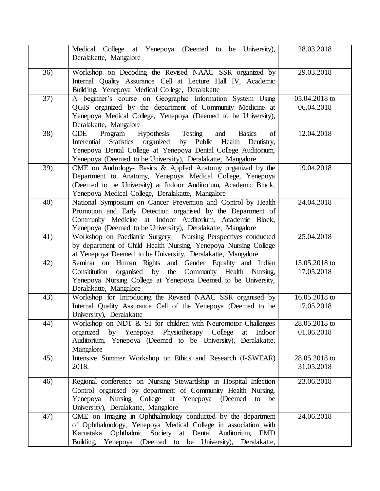|                  | Medical College at Yenepoya (Deemed to be University),<br>Deralakatte, Mangalore                                                                                                                                                                                                      | 28.03.2018                    |
|------------------|---------------------------------------------------------------------------------------------------------------------------------------------------------------------------------------------------------------------------------------------------------------------------------------|-------------------------------|
| $\overline{36}$  | Workshop on Decoding the Revised NAAC SSR organized by<br>Internal Quality Assurance Cell at Lecture Hall IV, Academic<br>Building, Yenepoya Medical College, Deralakatte                                                                                                             | 29.03.2018                    |
| $\overline{37)}$ | A beginner's course on Geographic Information System Using<br>QGIS organized by the department of Community Medicine at<br>Yenepoya Medical College, Yenepoya (Deemed to be University),<br>Deralakatte, Mangalore                                                                    | $05.04.2018$ to<br>06.04.2018 |
| 38)              | Program<br>Hypothesis<br>Testing<br><b>CDE</b><br><b>Basics</b><br>of<br>and<br>Inferential<br>Statistics organized<br>by Public<br>Health Dentistry,<br>Yenepoya Dental College at Yenepoya Dental College Auditorium,<br>Yenepoya (Deemed to be University), Deralakatte, Mangalore | 12.04.2018                    |
| 39)              | CME on Andrology- Basics & Applied Anatomy organized by the<br>Department to Anatomy, Yenepoya Medical College, Yenepoya<br>(Deemed to be University) at Indoor Auditorium, Academic Block,<br>Yenepoya Medical College, Deralakatte, Mangalore                                       | 19.04.2018                    |
| 40)              | National Symposium on Cancer Prevention and Control by Health<br>Promotion and Early Detection organised by the Department of<br>Community Medicine at Indoor Auditorium, Academic Block,<br>Yenepoya (Deemed to be University), Deralakatte, Mangalore                               | 24.04.2018                    |
| 41)              | Workshop on Paediatric Surgery - Nursing Perspectives conducted<br>by department of Child Health Nursing, Yenepoya Nursing College<br>at Yenepoya Deemed to be University, Deralakatte, Mangalore                                                                                     | 25.04.2018                    |
| 42)              | Seminar on Human Rights and Gender Equality and Indian<br>organised by the Community Health Nursing,<br>Consititution<br>Yenepoya Nursing College at Yenepoya Deemed to be University,<br>Deralakatte, Mangalore                                                                      | 15.05.2018 to<br>17.05.2018   |
| 43)              | Workshop for Introducing the Revised NAAC SSR organised by<br>Internal Quality Assurance Cell of the Yenepoya (Deemed to be<br>University), Deralakatte                                                                                                                               | 16.05.2018 to<br>17.05.2018   |
| 44)              | Workshop on NDT & SI for children with Neuromotor Challenges<br>by Yenepoya Physiotherapy College<br>organized<br>Indoor<br>at<br>Auditorium, Yenepoya (Deemed to be University), Deralakatte,<br>Mangalore                                                                           | 28.05.2018 to<br>01.06.2018   |
| 45)              | Intensive Summer Workshop on Ethics and Research (I-SWEAR)<br>2018.                                                                                                                                                                                                                   | 28.05.2018 to<br>31.05.2018   |
| 46)              | Regional conference on Nursing Stewardship in Hospital Infection<br>Control organised by department of Community Health Nursing,<br>Yenepoya Nursing College at Yenepoya (Deemed<br>to<br>be<br>University), Deralakatte, Mangalore                                                   | 23.06.2018                    |
| 47)              | CME on Imaging in Ophthalmology conducted by the department<br>of Ophthalmology, Yenepoya Medical College in association with<br>Karnataka Ophthalmic Society at Dental Auditorium,<br>EMD<br>Building, Yenepoya (Deemed to be University), Deralakatte,                              | 24.06.2018                    |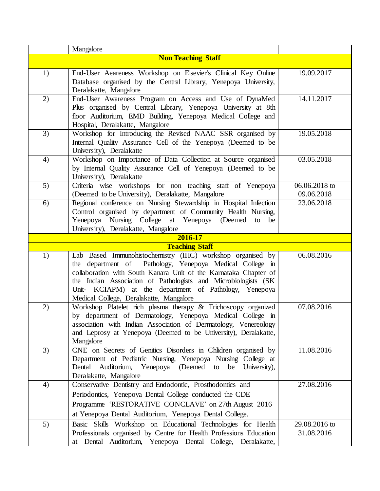|    | Mangalore                                                                                                                                                                                                                                                                                                                                                         |                             |
|----|-------------------------------------------------------------------------------------------------------------------------------------------------------------------------------------------------------------------------------------------------------------------------------------------------------------------------------------------------------------------|-----------------------------|
|    | <b>Non Teaching Staff</b>                                                                                                                                                                                                                                                                                                                                         |                             |
| 1) | End-User Aeareness Workshop on Elsevier's Clinical Key Online<br>Database organised by the Central Library, Yenepoya University,<br>Deralakatte, Mangalore                                                                                                                                                                                                        | 19.09.2017                  |
| 2) | End-User Awareness Program on Access and Use of DynaMed<br>Plus organised by Central Library, Yenepoya University at 8th<br>floor Auditorium, EMD Building, Yenepoya Medical College and<br>Hospital, Deralakatte, Mangalore                                                                                                                                      | 14.11.2017                  |
| 3) | Workshop for Introducing the Revised NAAC SSR organised by<br>Internal Quality Assurance Cell of the Yenepoya (Deemed to be<br>University), Deralakatte                                                                                                                                                                                                           | 19.05.2018                  |
| 4) | Workshop on Importance of Data Collection at Source organised<br>by Internal Quality Assurance Cell of Yenepoya (Deemed to be<br>University), Deralakatte                                                                                                                                                                                                         | 03.05.2018                  |
| 5) | Criteria wise workshops for non teaching staff of Yenepoya<br>(Deemed to be University), Deralakatte, Mangalore                                                                                                                                                                                                                                                   | 06.06.2018 to<br>09.06.2018 |
| 6) | Regional conference on Nursing Stewardship in Hospital Infection<br>Control organised by department of Community Health Nursing,<br>Yenepoya Nursing College at Yenepoya (Deemed<br>to<br>be<br>University), Deralakatte, Mangalore                                                                                                                               | 23.06.2018                  |
|    | 2016-17                                                                                                                                                                                                                                                                                                                                                           |                             |
|    | <b>Teaching Staff</b>                                                                                                                                                                                                                                                                                                                                             |                             |
| 1) | Lab Based Immunohistochemistry (IHC) workshop organised by<br>the department of Pathology, Yenepoya Medical College in<br>collaboration with South Kanara Unit of the Karnataka Chapter of<br>the Indian Association of Pathologists and Microbiologists (SK<br>Unit- KCIAPM) at the department of Pathology, Yenepoya<br>Medical College, Deralakatte, Mangalore | 06.08.2016                  |
| 2) | Workshop Platelet rich plasma therapy & Trichoscopy organized<br>by department of Dermatology, Yenepoya Medical College in<br>association with Indian Association of Dermatology, Venereology<br>and Leprosy at Yenepoya (Deemed to be University), Deralakatte,<br>Mangalore                                                                                     | 07.08.2016                  |
| 3) | CNE on Secrets of Genitics Disorders in Chlidren organised by<br>Department of Pediatric Nursing, Yenepoya Nursing College at<br>(Deemed)<br>Dental<br>Auditorium,<br>Yenepoya<br>University),<br>to<br>be<br>Deralakatte, Mangalore                                                                                                                              | 11.08.2016                  |
| 4) | Conservative Dentistry and Endodontic, Prosthodontics and<br>Periodontics, Yenepoya Dental College conducted the CDE<br>Programme 'RESTORATIVE CONCLAVE' on 27th August 2016<br>at Yenepoya Dental Auditorium, Yenepoya Dental College.                                                                                                                           | 27.08.2016                  |
| 5) | Basic Skills Workshop on Educational Technologies for Health<br>Professionals organised by Centre for Health Professions Education<br>at Dental Auditorium, Yenepoya Dental College,<br>Deralakatte,                                                                                                                                                              | 29.08.2016 to<br>31.08.2016 |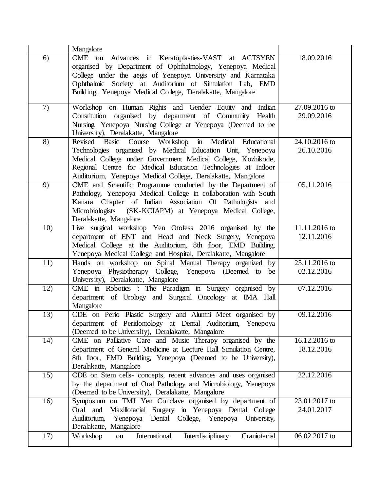|     | Mangalore                                                                                                                                                                                                                                                                                                                |                               |
|-----|--------------------------------------------------------------------------------------------------------------------------------------------------------------------------------------------------------------------------------------------------------------------------------------------------------------------------|-------------------------------|
| 6)  | CME on Advances in Keratoplasties-VAST at ACTSYEN<br>organised by Department of Ophthalmology, Yenepoya Medical<br>College under the aegis of Yenepoya University and Karnataka<br>Ophthalmic Society at Auditorium of Simulation Lab, EMD<br>Building, Yenepoya Medical College, Deralakatte, Mangalore                 | 18.09.2016                    |
| 7)  | Workshop on Human Rights and Gender Equity and Indian<br>Constitution organised by department of Community Health<br>Nursing, Yenepoya Nursing College at Yenepoya (Deemed to be<br>University), Deralakatte, Mangalore                                                                                                  | 27.09.2016 to<br>29.09.2016   |
| 8)  | Course Workshop in Medical Educational<br>Revised<br>Basic<br>Technologies organized by Medical Education Unit, Yenepoya<br>Medical College under Government Medical College, Kozhikode,<br>Regional Centre for Medical Education Technologies at Indoor<br>Auditorium, Yenepoya Medical College, Deralakatte, Mangalore | 24.10.2016 to<br>26.10.2016   |
| 9)  | CME and Scientific Programme conducted by the Department of<br>Pathology, Yenepoya Medical College in collaboration with South<br>Kanara Chapter of Indian Association Of Pathologists and<br>Microbiologists (SK-KCIAPM) at Yenepoya Medical College,<br>Deralakatte, Mangalore                                         | 05.11.2016                    |
| 10) | Live surgical workshop Yen Otofess 2016 organised by the<br>department of ENT and Head and Neck Surgery, Yenepoya<br>Medical College at the Auditorium, 8th floor, EMD Building,<br>Yenepoya Medical College and Hospital, Deralakatte, Mangalore                                                                        | $11.11.2016$ to<br>12.11.2016 |
| 11) | Hands on workshop on Spinal Manual Therapy organized by<br>Yenepoya Physiotherapy College, Yenepoya (Deemed to be<br>University), Deralakatte, Mangalore                                                                                                                                                                 | 25.11.2016 to<br>02.12.2016   |
| 12) | CME in Robotics : The Paradigm in Surgery organised by<br>department of Urology and Surgical Oncology at IMA Hall<br>Mangalore                                                                                                                                                                                           | 07.12.2016                    |
| 13) | CDE on Perio Plastic Surgery and Alumni Meet organised by<br>department of Peridontology at Dental Auditorium, Yenepoya<br>(Deemed to be University), Deralakatte, Mangalore                                                                                                                                             | 09.12.2016                    |
| 14) | CME on Palliative Care and Music Therapy organised by the<br>department of General Medicine at Lecture Hall Simulation Centre,<br>8th floor, EMD Building, Yenepoya (Deemed to be University),<br>Deralakatte, Mangalore                                                                                                 | 16.12.2016 to<br>18.12.2016   |
| 15) | CDE on Stem cells- concepts, recent advances and uses organised<br>by the department of Oral Pathology and Microbiology, Yenepoya<br>(Deemed to be University), Deralakatte, Mangalore                                                                                                                                   | 22.12.2016                    |
| 16) | Symposium on TMJ Yen Conclave organised by department of<br>Oral and<br>Maxillofacial Surgery in Yenepoya Dental College<br>Auditorium, Yenepoya Dental College, Yenepoya University,<br>Deralakatte, Mangalore                                                                                                          | 23.01.2017 to<br>24.01.2017   |
| 17) | International<br>Interdisciplinary<br>Craniofacial<br>Workshop<br>on                                                                                                                                                                                                                                                     | 06.02.2017 to                 |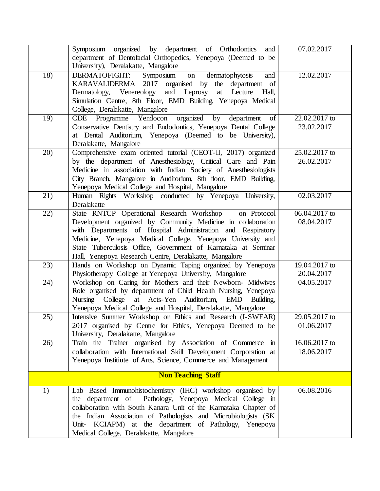|     | Symposium organized by department of Orthodontics<br>and                                                                                                                                                                                                                                                                                                                          | 07.02.2017                  |
|-----|-----------------------------------------------------------------------------------------------------------------------------------------------------------------------------------------------------------------------------------------------------------------------------------------------------------------------------------------------------------------------------------|-----------------------------|
|     | department of Dentofacial Orthopedics, Yenepoya (Deemed to be<br>University), Deralakatte, Mangalore                                                                                                                                                                                                                                                                              |                             |
| 18) | DERMATOFIGHT:<br>Symposium on<br>dermatophytosis<br>and<br>KARAVALIDERMA 2017 organised by the department of<br>Dermatology, Venereology<br>and Leprosy<br>at Lecture<br>Hall,<br>Simulation Centre, 8th Floor, EMD Building, Yenepoya Medical<br>College, Deralakatte, Mangalore                                                                                                 | 12.02.2017                  |
| 19) | organized<br>CDE Programme Yendocon<br>by<br>department<br>of<br>Conservative Dentistry and Endodontics, Yenepoya Dental College<br>at Dental Auditorium, Yenepoya (Deemed to be University),<br>Deralakatte, Mangalore                                                                                                                                                           | 22.02.2017 to<br>23.02.2017 |
| 20) | Comprehensive exam oriented tutorial (CEOT-II, 2017) organized<br>by the department of Anesthesiology, Critical Care and Pain<br>Medicine in association with Indian Society of Anesthesiologists<br>City Branch, Mangalore in Auditorium, 8th floor, EMD Building,<br>Yenepoya Medical College and Hospital, Mangalore                                                           | 25.02.2017 to<br>26.02.2017 |
| 21) | Human Rights Workshop conducted by Yenepoya University,<br>Deralakatte                                                                                                                                                                                                                                                                                                            | 02.03.2017                  |
| 22) | State RNTCP Operational Research Workshop<br>on Protocol<br>Development organized by Community Medicine in collaboration<br>with Departments of Hospital Administration and Respiratory<br>Medicine, Yenepoya Medical College, Yenepoya University and<br>State Tuberculosis Office, Government of Karnataka at Seminar<br>Hall, Yenepoya Research Centre, Deralakatte, Mangalore | 06.04.2017 to<br>08.04.2017 |
| 23) | Hands on Workshop on Dynamic Taping organized by Yenepoya<br>Physiotherapy College at Yenepoya University, Mangalore                                                                                                                                                                                                                                                              | 19.04.2017 to<br>20.04.2017 |
| 24) | Workshop on Caring for Mothers and their Newborn- Midwives<br>Role organised by department of Child Health Nursing, Yenepoya<br>Nursing College at Acts-Yen Auditorium, EMD Building,<br>Yenepoya Medical College and Hospital, Deralakatte, Mangalore                                                                                                                            | 04.05.2017                  |
| 25) | Intensive Summer Workshop on Ethics and Research (I-SWEAR)<br>2017 organised by Centre for Ethics, Yenepoya Deemed to be<br>University, Deralakatte, Mangalore                                                                                                                                                                                                                    | 29.05.2017 to<br>01.06.2017 |
| 26) | Train the Trainer organised by Association of Commerce in<br>collaboration with International Skill Development Corporation at<br>Yenepoya Institute of Arts, Science, Commerce and Management                                                                                                                                                                                    | 16.06.2017 to<br>18.06.2017 |
|     | <b>Non Teaching Staff</b>                                                                                                                                                                                                                                                                                                                                                         |                             |
| 1)  | Lab Based Immunohistochemistry (IHC) workshop organised by<br>Pathology, Yenepoya Medical College in<br>the department of<br>collaboration with South Kanara Unit of the Karnataka Chapter of<br>the Indian Association of Pathologists and Microbiologists (SK<br>Unit- KCIAPM) at the department of Pathology, Yenepoya<br>Medical College, Deralakatte, Mangalore              | 06.08.2016                  |